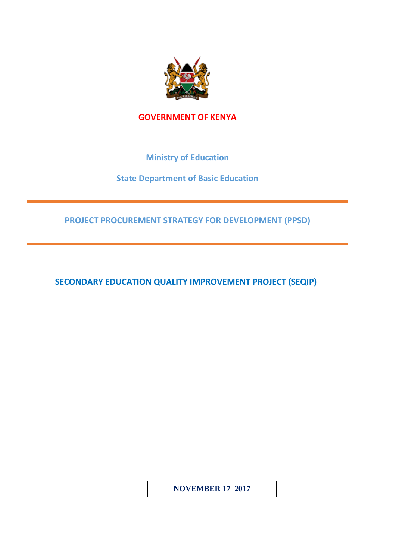

# **GOVERNMENT OF KENYA**

**Ministry of Education**

**State Department of Basic Education**

**PROJECT PROCUREMENT STRATEGY FOR DEVELOPMENT (PPSD)**

**SECONDARY EDUCATION QUALITY IMPROVEMENT PROJECT (SEQIP)**

**NOVEMBER 17 2017**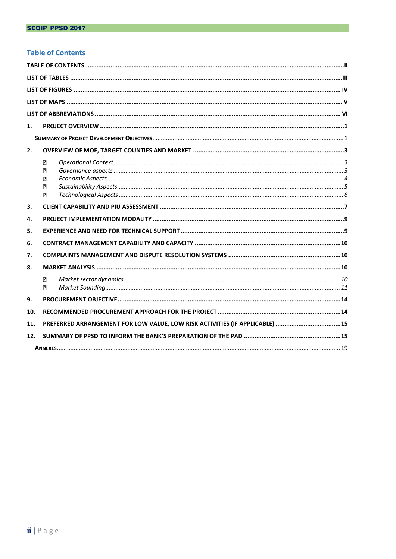# <span id="page-1-0"></span>**Table of Contents**

| 1.  |                                                                                                                                                                                                                                                                                                                                                                                                                                                                                                           |  |  |
|-----|-----------------------------------------------------------------------------------------------------------------------------------------------------------------------------------------------------------------------------------------------------------------------------------------------------------------------------------------------------------------------------------------------------------------------------------------------------------------------------------------------------------|--|--|
|     |                                                                                                                                                                                                                                                                                                                                                                                                                                                                                                           |  |  |
| 2.  |                                                                                                                                                                                                                                                                                                                                                                                                                                                                                                           |  |  |
|     | $\emph{Operational Context} \label{def:operational} \vspace{-0.5em} \vspace{-0.5em} \label{eq:operational} \vspace{-0.5em} \vspace{-0.5em} \vspace{-0.5em} \vspace{-0.5em} \vspace{-0.5em} \vspace{-0.5em} \vspace{-0.5em} \vspace{-0.5em} \vspace{-0.5em} \vspace{-0.5em} \vspace{-0.5em} \vspace{-0.5em} \vspace{-0.5em} \vspace{-0.5em} \vspace{-0.5em} \vspace{-0.5em} \vspace{-0.5em} \vspace{-0.5em} \vspace{-0.5em} \vspace{-0.5$<br>$\sqrt{2}$<br>7<br>$\overline{P}$<br>$\sqrt{2}$<br>$\sqrt{2}$ |  |  |
| З.  |                                                                                                                                                                                                                                                                                                                                                                                                                                                                                                           |  |  |
| 4.  |                                                                                                                                                                                                                                                                                                                                                                                                                                                                                                           |  |  |
| 5.  |                                                                                                                                                                                                                                                                                                                                                                                                                                                                                                           |  |  |
| 6.  |                                                                                                                                                                                                                                                                                                                                                                                                                                                                                                           |  |  |
| 7.  |                                                                                                                                                                                                                                                                                                                                                                                                                                                                                                           |  |  |
| 8.  |                                                                                                                                                                                                                                                                                                                                                                                                                                                                                                           |  |  |
|     | $\sqrt{2}$<br>2                                                                                                                                                                                                                                                                                                                                                                                                                                                                                           |  |  |
| 9.  |                                                                                                                                                                                                                                                                                                                                                                                                                                                                                                           |  |  |
| 10. |                                                                                                                                                                                                                                                                                                                                                                                                                                                                                                           |  |  |
| 11. | PREFERRED ARRANGEMENT FOR LOW VALUE, LOW RISK ACTIVITIES (IF APPLICABLE) 15                                                                                                                                                                                                                                                                                                                                                                                                                               |  |  |
| 12. |                                                                                                                                                                                                                                                                                                                                                                                                                                                                                                           |  |  |
|     |                                                                                                                                                                                                                                                                                                                                                                                                                                                                                                           |  |  |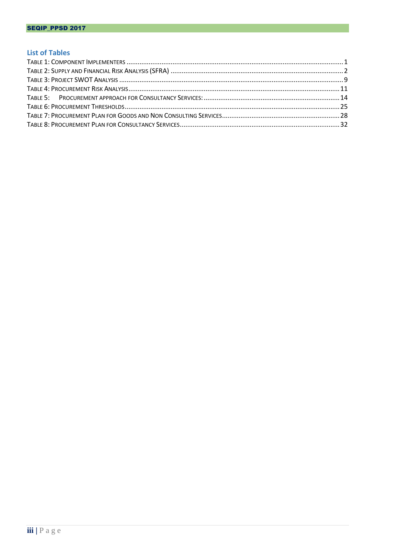# <span id="page-2-0"></span>**List of Tables**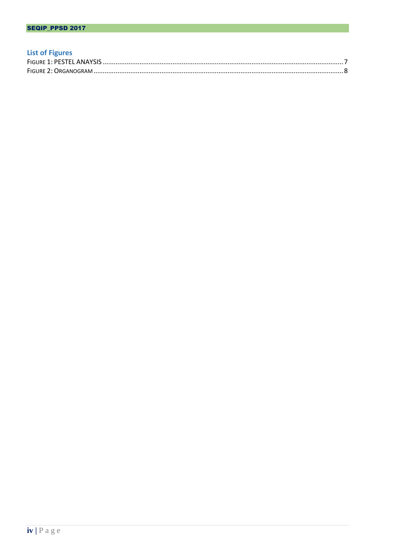# <span id="page-3-0"></span>**List of Figures**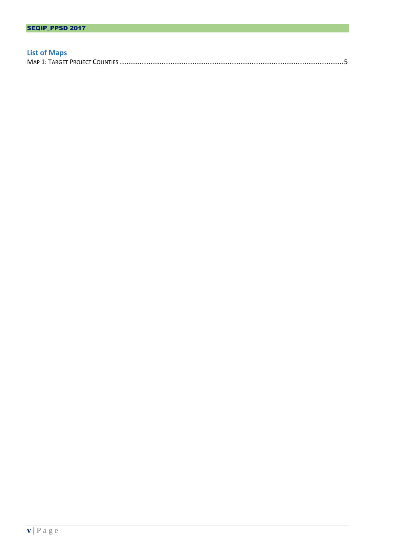# <span id="page-4-0"></span>**List of Maps**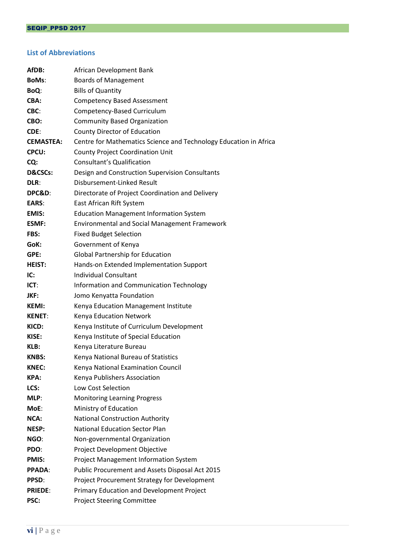# <span id="page-5-0"></span>**List of Abbreviations**

| AfDB:              | African Development Bank                                          |
|--------------------|-------------------------------------------------------------------|
| <b>BoMs:</b>       | <b>Boards of Management</b>                                       |
| BoQ:               | <b>Bills of Quantity</b>                                          |
| CBA:               | <b>Competency Based Assessment</b>                                |
| CBC:               | Competency-Based Curriculum                                       |
| CBO:               | <b>Community Based Organization</b>                               |
| CDE:               | <b>County Director of Education</b>                               |
| <b>CEMASTEA:</b>   | Centre for Mathematics Science and Technology Education in Africa |
| CPCU:              | <b>County Project Coordination Unit</b>                           |
| CQ:                | <b>Consultant's Qualification</b>                                 |
| <b>D&amp;CSCs:</b> | Design and Construction Supervision Consultants                   |
| DLR:               | Disbursement-Linked Result                                        |
| DPC&D:             | Directorate of Project Coordination and Delivery                  |
| <b>EARS:</b>       | East African Rift System                                          |
| <b>EMIS:</b>       | <b>Education Management Information System</b>                    |
| <b>ESMF:</b>       | <b>Environmental and Social Management Framework</b>              |
| FBS:               | <b>Fixed Budget Selection</b>                                     |
| GoK:               | Government of Kenya                                               |
| GPE:               | <b>Global Partnership for Education</b>                           |
| <b>HEIST:</b>      | Hands-on Extended Implementation Support                          |
| IC:                | <b>Individual Consultant</b>                                      |
| $ICT$ :            | Information and Communication Technology                          |
| JKF:               | Jomo Kenyatta Foundation                                          |
| <b>KEMI:</b>       | Kenya Education Management Institute                              |
| <b>KENET:</b>      | Kenya Education Network                                           |
| KICD:              | Kenya Institute of Curriculum Development                         |
| KISE:              | Kenya Institute of Special Education                              |
| KLB:               | Kenya Literature Bureau                                           |
| <b>KNBS:</b>       | Kenya National Bureau of Statistics                               |
| <b>KNEC:</b>       | Kenya National Examination Council                                |
| <b>KPA:</b>        | Kenya Publishers Association                                      |
| LCS:               | Low Cost Selection                                                |
| MLP:               | <b>Monitoring Learning Progress</b>                               |
| MoE:               | Ministry of Education                                             |
| NCA:               | <b>National Construction Authority</b>                            |
| <b>NESP:</b>       | <b>National Education Sector Plan</b>                             |
| NGO:               | Non-governmental Organization                                     |
| PDO:               | Project Development Objective                                     |
| <b>PMIS:</b>       | Project Management Information System                             |
| <b>PPADA:</b>      | Public Procurement and Assets Disposal Act 2015                   |
| <b>PPSD:</b>       | Project Procurement Strategy for Development                      |
| <b>PRIEDE:</b>     | Primary Education and Development Project                         |
| PSC:               | <b>Project Steering Committee</b>                                 |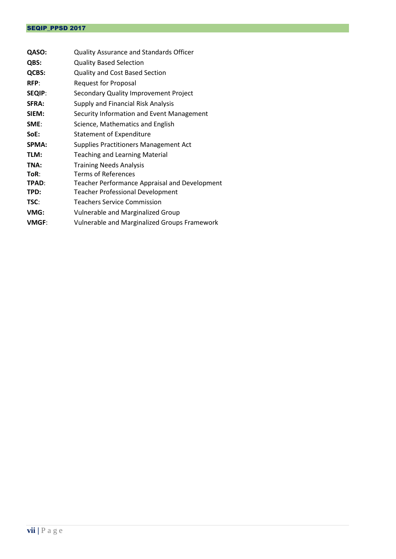| QASO:         | <b>Quality Assurance and Standards Officer</b>      |
|---------------|-----------------------------------------------------|
| QBS:          | <b>Quality Based Selection</b>                      |
| QCBS:         | Quality and Cost Based Section                      |
| RFP:          | <b>Request for Proposal</b>                         |
| <b>SEQIP:</b> | Secondary Quality Improvement Project               |
| <b>SFRA:</b>  | Supply and Financial Risk Analysis                  |
| SIEM:         | Security Information and Event Management           |
| SME:          | Science, Mathematics and English                    |
| SoE:          | <b>Statement of Expenditure</b>                     |
| <b>SPMA:</b>  | <b>Supplies Practitioners Management Act</b>        |
| TLM:          | <b>Teaching and Learning Material</b>               |
| TNA:          | <b>Training Needs Analysis</b>                      |
| ToR:          | <b>Terms of References</b>                          |
| TPAD:         | Teacher Performance Appraisal and Development       |
| TPD:          | <b>Teacher Professional Development</b>             |
| TSC:          | <b>Teachers Service Commission</b>                  |
| VMG:          | <b>Vulnerable and Marginalized Group</b>            |
| <b>VMGF:</b>  | <b>Vulnerable and Marginalized Groups Framework</b> |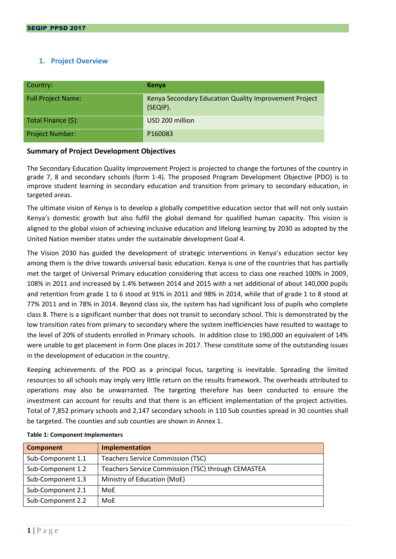# <span id="page-7-0"></span>**1. Project Overview**

| Country:                  | Kenya                                                             |
|---------------------------|-------------------------------------------------------------------|
| <b>Full Project Name:</b> | Kenya Secondary Education Quality Improvement Project<br>(SEQIP). |
| Total Finance (\$):       | USD 200 million                                                   |
| Project Number:           | P160083                                                           |

## <span id="page-7-1"></span>**Summary of Project Development Objectives**

The Secondary Education Quality Improvement Project is projected to change the fortunes of the country in grade 7, 8 and secondary schools (form 1-4). The proposed Program Development Objective (PDO) is to improve student learning in secondary education and transition from primary to secondary education, in targeted areas.

The ultimate vision of Kenya is to develop a globally competitive education sector that will not only sustain Kenya's domestic growth but also fulfil the global demand for qualified human capacity. This vision is aligned to the global vision of achieving inclusive education and lifelong learning by 2030 as adopted by the United Nation member states under the sustainable development Goal 4.

The Vision 2030 has guided the development of strategic interventions in Kenya's education sector key among them is the drive towards universal basic education. Kenya is one of the countries that has partially met the target of Universal Primary education considering that access to class one reached 100% in 2009, 108% in 2011 and increased by 1.4% between 2014 and 2015 with a net additional of about 140,000 pupils and retention from grade 1 to 6 stood at 91% in 2011 and 98% in 2014, while that of grade 1 to 8 stood at 77% 2011 and in 78% in 2014. Beyond class six, the system has had significant loss of pupils who complete class 8. There is a significant number that does not transit to secondary school. This is demonstrated by the low transition rates from primary to secondary where the system inefficiencies have resulted to wastage to the level of 20% of students enrolled in Primary schools. In addition close to 190,000 an equivalent of 14% were unable to get placement in Form One places in 2017. These constitute some of the outstanding issues in the development of education in the country.

Keeping achievements of the PDO as a principal focus, targeting is inevitable. Spreading the limited resources to all schools may imply very little return on the results framework. The overheads attributed to operations may also be unwarranted. The targeting therefore has been conducted to ensure the investment can account for results and that there is an efficient implementation of the project activities. Total of 7,852 primary schools and 2,147 secondary schools in 110 Sub counties spread in 30 counties shall be targeted. The counties and sub counties are shown in Annex 1.

| <b>Component</b>  | Implementation                                     |
|-------------------|----------------------------------------------------|
| Sub-Component 1.1 | <b>Teachers Service Commission (TSC)</b>           |
| Sub-Component 1.2 | Teachers Service Commission (TSC) through CEMASTEA |
| Sub-Component 1.3 | Ministry of Education (MoE)                        |
| Sub-Component 2.1 | MoF                                                |
| Sub-Component 2.2 | MoF                                                |

### <span id="page-7-2"></span>**Table 1: Component Implementers**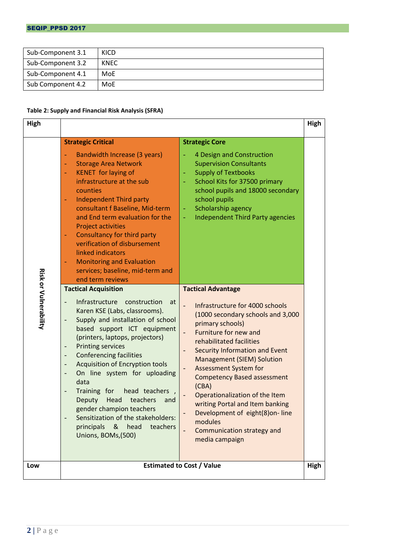| Sub-Component 3.1 | KICD        |
|-------------------|-------------|
| Sub-Component 3.2 | <b>KNEC</b> |
| Sub-Component 4.1 | MoE         |
| Sub Component 4.2 | MoF         |

## <span id="page-8-0"></span>**Table 2: Supply and Financial Risk Analysis (SFRA)**

| High                         |                                                                                                                                                                                                                                                                                                                                                                                                                                                                                                                                                                                                                                                                                           |                                                                                                                                                                                                                                                                                                                                                                                                                                                                                                    | High |
|------------------------------|-------------------------------------------------------------------------------------------------------------------------------------------------------------------------------------------------------------------------------------------------------------------------------------------------------------------------------------------------------------------------------------------------------------------------------------------------------------------------------------------------------------------------------------------------------------------------------------------------------------------------------------------------------------------------------------------|----------------------------------------------------------------------------------------------------------------------------------------------------------------------------------------------------------------------------------------------------------------------------------------------------------------------------------------------------------------------------------------------------------------------------------------------------------------------------------------------------|------|
|                              | <b>Strategic Critical</b>                                                                                                                                                                                                                                                                                                                                                                                                                                                                                                                                                                                                                                                                 | <b>Strategic Core</b>                                                                                                                                                                                                                                                                                                                                                                                                                                                                              |      |
|                              | Bandwidth Increase (3 years)<br><b>Storage Area Network</b><br>٠<br><b>KENET</b> for laying of<br>٠<br>infrastructure at the sub<br>counties<br><b>Independent Third party</b><br>÷<br>consultant f Baseline, Mid-term<br>and End term evaluation for the<br><b>Project activities</b><br>Consultancy for third party<br>۰<br>verification of disbursement<br>linked indicators<br><b>Monitoring and Evaluation</b><br>services; baseline, mid-term and<br>end term reviews                                                                                                                                                                                                               | 4 Design and Construction<br><b>Supervision Consultants</b><br><b>Supply of Textbooks</b><br>÷,<br>School Kits for 37500 primary<br>school pupils and 18000 secondary<br>school pupils<br>Scholarship agency<br>÷<br><b>Independent Third Party agencies</b>                                                                                                                                                                                                                                       |      |
| <b>Risk or Vulnerability</b> | <b>Tactical Acquisition</b><br>Infrastructure construction<br>at<br>Karen KSE (Labs, classrooms).<br>Supply and installation of school<br>$\overline{a}$<br>based support ICT equipment<br>(printers, laptops, projectors)<br><b>Printing services</b><br>-<br><b>Conferencing facilities</b><br>$\overline{\phantom{m}}$<br><b>Acquisition of Encryption tools</b><br>$\overline{\phantom{a}}$<br>On line system for uploading<br>$\overline{a}$<br>data<br>Training for<br>head teachers,<br>$\overline{a}$<br><b>Deputy</b><br>Head<br>teachers<br>and<br>gender champion teachers<br>Sensitization of the stakeholders:<br>principals<br>head<br>&<br>teachers<br>Unions, BOMs, (500) | <b>Tactical Advantage</b><br>Infrastructure for 4000 schools<br>(1000 secondary schools and 3,000<br>primary schools)<br>Furniture for new and<br>rehabilitated facilities<br>Security Information and Event<br><b>Management (SIEM) Solution</b><br><b>Assessment System for</b><br><b>Competency Based assessment</b><br>(CBA)<br>Operationalization of the Item<br>writing Portal and Item banking<br>Development of eight(8)on-line<br>modules<br>Communication strategy and<br>media campaign |      |
| Low                          |                                                                                                                                                                                                                                                                                                                                                                                                                                                                                                                                                                                                                                                                                           | <b>Estimated to Cost / Value</b>                                                                                                                                                                                                                                                                                                                                                                                                                                                                   | High |
|                              |                                                                                                                                                                                                                                                                                                                                                                                                                                                                                                                                                                                                                                                                                           |                                                                                                                                                                                                                                                                                                                                                                                                                                                                                                    |      |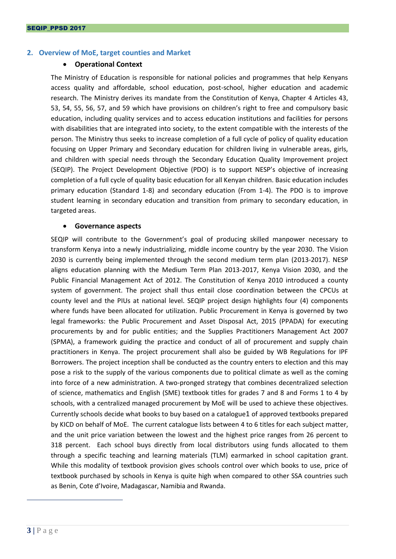### <span id="page-9-1"></span><span id="page-9-0"></span>**2. Overview of MoE, target counties and Market**

### **Operational Context**

The Ministry of Education is responsible for national policies and programmes that help Kenyans access quality and affordable, school education, post-school, higher education and academic research. The Ministry derives its mandate from the Constitution of Kenya, Chapter 4 Articles 43, 53, 54, 55, 56, 57, and 59 which have provisions on children's right to free and compulsory basic education, including quality services and to access education institutions and facilities for persons with disabilities that are integrated into society, to the extent compatible with the interests of the person. The Ministry thus seeks to increase completion of a full cycle of policy of quality education focusing on Upper Primary and Secondary education for children living in vulnerable areas, girls, and children with special needs through the Secondary Education Quality Improvement project (SEQIP). The Project Development Objective (PDO) is to support NESP's objective of increasing completion of a full cycle of quality basic education for all Kenyan children. Basic education includes primary education (Standard 1-8) and secondary education (From 1-4). The PDO is to improve student learning in secondary education and transition from primary to secondary education, in targeted areas.

### **Governance aspects**

<span id="page-9-2"></span>SEQIP will contribute to the Government's goal of producing skilled manpower necessary to transform Kenya into a newly industrializing, middle income country by the year 2030. The Vision 2030 is currently being implemented through the second medium term plan (2013-2017). NESP aligns education planning with the Medium Term Plan 2013-2017, Kenya Vision 2030, and the Public Financial Management Act of 2012. The Constitution of Kenya 2010 introduced a county system of government. The project shall thus entail close coordination between the CPCUs at county level and the PIUs at national level. SEQIP project design highlights four (4) components where funds have been allocated for utilization. Public Procurement in Kenya is governed by two legal frameworks: the Public Procurement and Asset Disposal Act, 2015 (PPADA) for executing procurements by and for public entities; and the Supplies Practitioners Management Act 2007 (SPMA), a framework guiding the practice and conduct of all of procurement and supply chain practitioners in Kenya. The project procurement shall also be guided by WB Regulations for IPF Borrowers. The project inception shall be conducted as the country enters to election and this may pose a risk to the supply of the various components due to political climate as well as the coming into force of a new administration. A two-pronged strategy that combines decentralized selection of science, mathematics and English (SME) textbook titles for grades 7 and 8 and Forms 1 to 4 by schools, with a centralized managed procurement by MoE will be used to achieve these objectives. Currently schools decide what books to buy based on a catalogue1 of approved textbooks prepared by KICD on behalf of MoE. The current catalogue lists between 4 to 6 titles for each subject matter, and the unit price variation between the lowest and the highest price ranges from 26 percent to 318 percent. Each school buys directly from local distributors using funds allocated to them through a specific teaching and learning materials (TLM) earmarked in school capitation grant. While this modality of textbook provision gives schools control over which books to use, price of textbook purchased by schools in Kenya is quite high when compared to other SSA countries such as Benin, Cote d'Ivoire, Madagascar, Namibia and Rwanda.

 $\overline{1}$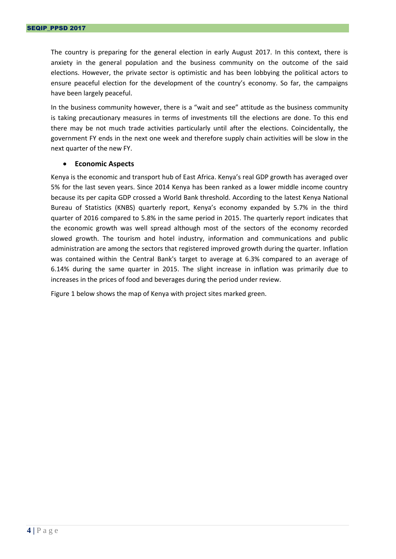The country is preparing for the general election in early August 2017. In this context, there is anxiety in the general population and the business community on the outcome of the said elections. However, the private sector is optimistic and has been lobbying the political actors to ensure peaceful election for the development of the country's economy. So far, the campaigns have been largely peaceful.

In the business community however, there is a "wait and see" attitude as the business community is taking precautionary measures in terms of investments till the elections are done. To this end there may be not much trade activities particularly until after the elections. Coincidentally, the government FY ends in the next one week and therefore supply chain activities will be slow in the next quarter of the new FY.

### **Economic Aspects**

<span id="page-10-0"></span>Kenya is the economic and transport hub of East Africa. Kenya's real GDP growth has averaged over 5% for the last seven years. Since 2014 Kenya has been ranked as a lower middle income country because its per capita GDP crossed a World Bank threshold. According to the latest Kenya National Bureau of Statistics (KNBS) quarterly report, Kenya's economy expanded by 5.7% in the third quarter of 2016 compared to 5.8% in the same period in 2015. The quarterly report indicates that the economic growth was well spread although most of the sectors of the economy recorded slowed growth. The tourism and hotel industry, information and communications and public administration are among the sectors that registered improved growth during the quarter. Inflation was contained within the Central Bank's target to average at 6.3% compared to an average of 6.14% during the same quarter in 2015. The slight increase in inflation was primarily due to increases in the prices of food and beverages during the period under review.

Figure 1 below shows the map of Kenya with project sites marked green.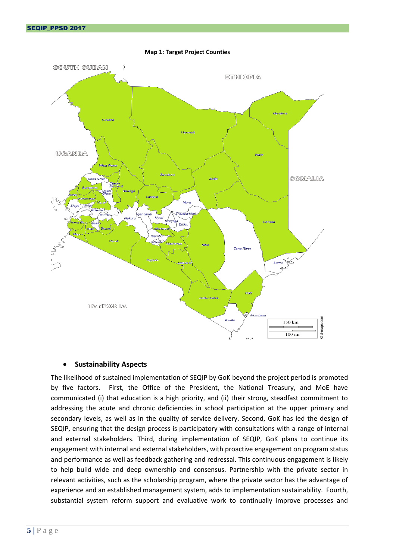**Map 1: Target Project Counties**

<span id="page-11-1"></span>

## **•** Sustainability Aspects

<span id="page-11-0"></span>The likelihood of sustained implementation of SEQIP by GoK beyond the project period is promoted by five factors. First, the Office of the President, the National Treasury, and MoE have communicated (i) that education is a high priority, and (ii) their strong, steadfast commitment to addressing the acute and chronic deficiencies in school participation at the upper primary and secondary levels, as well as in the quality of service delivery. Second, GoK has led the design of SEQIP, ensuring that the design process is participatory with consultations with a range of internal and external stakeholders. Third, during implementation of SEQIP, GoK plans to continue its engagement with internal and external stakeholders, with proactive engagement on program status and performance as well as feedback gathering and redressal. This continuous engagement is likely to help build wide and deep ownership and consensus. Partnership with the private sector in relevant activities, such as the scholarship program, where the private sector has the advantage of experience and an established management system, adds to implementation sustainability. Fourth, substantial system reform support and evaluative work to continually improve processes and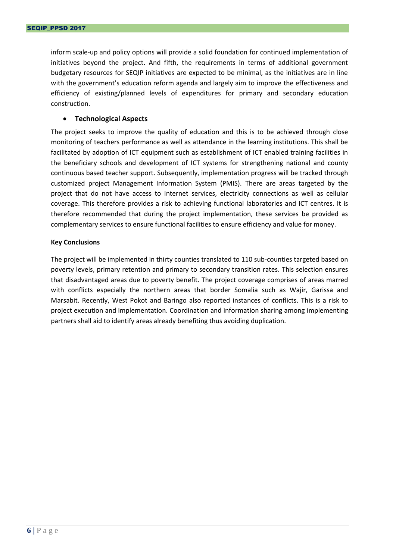inform scale-up and policy options will provide a solid foundation for continued implementation of initiatives beyond the project. And fifth, the requirements in terms of additional government budgetary resources for SEQIP initiatives are expected to be minimal, as the initiatives are in line with the government's education reform agenda and largely aim to improve the effectiveness and efficiency of existing/planned levels of expenditures for primary and secondary education construction.

## **Technological Aspects**

<span id="page-12-0"></span>The project seeks to improve the quality of education and this is to be achieved through close monitoring of teachers performance as well as attendance in the learning institutions. This shall be facilitated by adoption of ICT equipment such as establishment of ICT enabled training facilities in the beneficiary schools and development of ICT systems for strengthening national and county continuous based teacher support. Subsequently, implementation progress will be tracked through customized project Management Information System (PMIS). There are areas targeted by the project that do not have access to internet services, electricity connections as well as cellular coverage. This therefore provides a risk to achieving functional laboratories and ICT centres. It is therefore recommended that during the project implementation, these services be provided as complementary services to ensure functional facilities to ensure efficiency and value for money.

### **Key Conclusions**

The project will be implemented in thirty counties translated to 110 sub-counties targeted based on poverty levels, primary retention and primary to secondary transition rates. This selection ensures that disadvantaged areas due to poverty benefit. The project coverage comprises of areas marred with conflicts especially the northern areas that border Somalia such as Wajir, Garissa and Marsabit. Recently, West Pokot and Baringo also reported instances of conflicts. This is a risk to project execution and implementation. Coordination and information sharing among implementing partners shall aid to identify areas already benefiting thus avoiding duplication.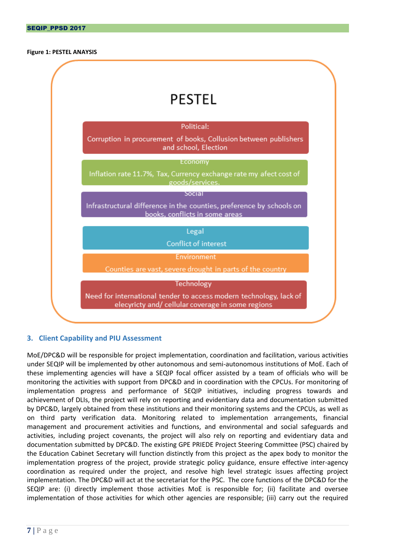#### <span id="page-13-1"></span>**Figure 1: PESTEL ANAYSIS**



## <span id="page-13-0"></span>**3. Client Capability and PIU Assessment**

MoE/DPC&D will be responsible for project implementation, coordination and facilitation, various activities under SEQIP will be implemented by other autonomous and semi-autonomous institutions of MoE. Each of these implementing agencies will have a SEQIP focal officer assisted by a team of officials who will be monitoring the activities with support from DPC&D and in coordination with the CPCUs. For monitoring of implementation progress and performance of SEQIP initiatives, including progress towards and achievement of DLIs, the project will rely on reporting and evidentiary data and documentation submitted by DPC&D, largely obtained from these institutions and their monitoring systems and the CPCUs, as well as on third party verification data. Monitoring related to implementation arrangements, financial management and procurement activities and functions, and environmental and social safeguards and activities, including project covenants, the project will also rely on reporting and evidentiary data and documentation submitted by DPC&D. The existing GPE PRIEDE Project Steering Committee (PSC) chaired by the Education Cabinet Secretary will function distinctly from this project as the apex body to monitor the implementation progress of the project, provide strategic policy guidance, ensure effective inter-agency coordination as required under the project, and resolve high level strategic issues affecting project implementation. The DPC&D will act at the secretariat for the PSC. The core functions of the DPC&D for the SEQIP are: (i) directly implement those activities MoE is responsible for; (ii) facilitate and oversee implementation of those activities for which other agencies are responsible; (iii) carry out the required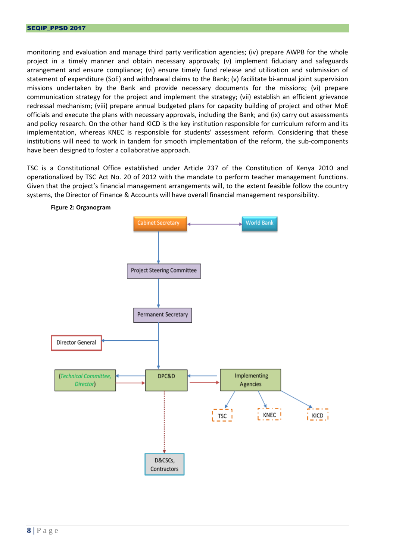monitoring and evaluation and manage third party verification agencies; (iv) prepare AWPB for the whole project in a timely manner and obtain necessary approvals; (v) implement fiduciary and safeguards arrangement and ensure compliance; (vi) ensure timely fund release and utilization and submission of statement of expenditure (SoE) and withdrawal claims to the Bank; (v) facilitate bi-annual joint supervision missions undertaken by the Bank and provide necessary documents for the missions; (vi) prepare communication strategy for the project and implement the strategy; (vii) establish an efficient grievance redressal mechanism; (viii) prepare annual budgeted plans for capacity building of project and other MoE officials and execute the plans with necessary approvals, including the Bank; and (ix) carry out assessments and policy research. On the other hand KICD is the key institution responsible for curriculum reform and its implementation, whereas KNEC is responsible for students' assessment reform. Considering that these institutions will need to work in tandem for smooth implementation of the reform, the sub-components have been designed to foster a collaborative approach.

TSC is a Constitutional Office established under Article 237 of the Constitution of Kenya 2010 and operationalized by TSC Act No. 20 of 2012 with the mandate to perform teacher management functions. Given that the project's financial management arrangements will, to the extent feasible follow the country systems, the Director of Finance & Accounts will have overall financial management responsibility.



<span id="page-14-0"></span>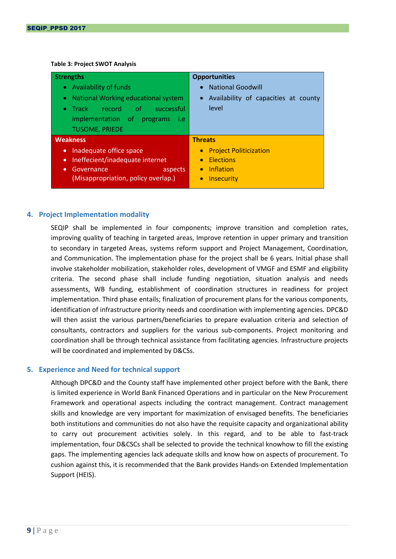## <span id="page-15-2"></span>**Table 3: Project SWOT Analysis**

| <b>Strengths</b>                             | <b>Opportunities</b>                 |
|----------------------------------------------|--------------------------------------|
| Availability of funds<br>$\bullet$           | <b>National Goodwill</b>             |
| National Working educational system          | Availability of capacities at county |
| • Track record of<br>successful              | level                                |
| implementation of programs i.e               |                                      |
| <b>TUSOME, PRIEDE</b>                        |                                      |
| <b>Weakness</b>                              | <b>Threats</b>                       |
| Inadequate office space<br>$\bullet$         | • Project Politicization             |
| Ineffecient/inadequate internet<br>$\bullet$ | <b>Elections</b><br>$\bullet$        |
| Governance<br>aspects<br>$\bullet$           | Inflation<br>$\bullet$               |
| (Misappropriation, policy overlap.)          | <b>Insecurity</b>                    |

## <span id="page-15-0"></span>**4. Project Implementation modality**

SEQIP shall be implemented in four components; improve transition and completion rates, improving quality of teaching in targeted areas, Improve retention in upper primary and transition to secondary in targeted Areas, systems reform support and Project Management, Coordination, and Communication. The implementation phase for the project shall be 6 years. Initial phase shall involve stakeholder mobilization, stakeholder roles, development of VMGF and ESMF and eligibility criteria. The second phase shall include funding negotiation, situation analysis and needs assessments, WB funding, establishment of coordination structures in readiness for project implementation. Third phase entails; finalization of procurement plans for the various components, identification of infrastructure priority needs and coordination with implementing agencies. DPC&D will then assist the various partners/beneficiaries to prepare evaluation criteria and selection of consultants, contractors and suppliers for the various sub-components. Project monitoring and coordination shall be through technical assistance from facilitating agencies. Infrastructure projects will be coordinated and implemented by D&CSs.

### <span id="page-15-1"></span>**5. Experience and Need for technical support**

Although DPC&D and the County staff have implemented other project before with the Bank, there is limited experience in World Bank Financed Operations and in particular on the New Procurement Framework and operational aspects including the contract management. Contract management skills and knowledge are very important for maximization of envisaged benefits. The beneficiaries both institutions and communities do not also have the requisite capacity and organizational ability to carry out procurement activities solely. In this regard, and to be able to fast-track implementation, four D&CSCs shall be selected to provide the technical knowhow to fill the existing gaps. The implementing agencies lack adequate skills and know how on aspects of procurement. To cushion against this, it is recommended that the Bank provides Hands-on Extended Implementation Support (HEIS).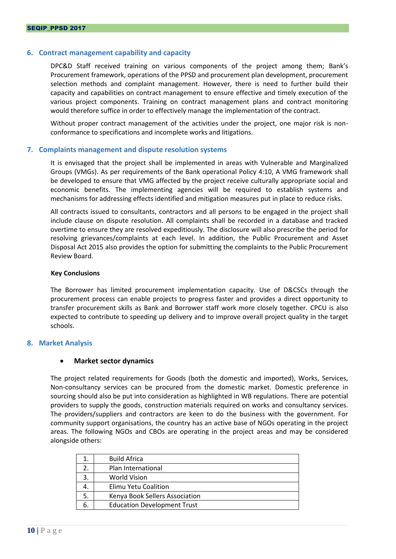### <span id="page-16-0"></span>**6. Contract management capability and capacity**

DPC&D Staff received training on various components of the project among them; Bank's Procurement framework, operations of the PPSD and procurement plan development, procurement selection methods and complaint management. However, there is need to further build their capacity and capabilities on contract management to ensure effective and timely execution of the various project components. Training on contract management plans and contract monitoring would therefore suffice in order to effectively manage the implementation of the contract.

Without proper contract management of the activities under the project, one major risk is nonconformance to specifications and incomplete works and litigations.

#### <span id="page-16-1"></span>**7. Complaints management and dispute resolution systems**

It is envisaged that the project shall be implemented in areas with Vulnerable and Marginalized Groups (VMGs). As per requirements of the Bank operational Policy 4:10, A VMG framework shall be developed to ensure that VMG affected by the project receive culturally appropriate social and economic benefits. The implementing agencies will be required to establish systems and mechanisms for addressing effects identified and mitigation measures put in place to reduce risks.

All contracts issued to consultants, contractors and all persons to be engaged in the project shall include clause on dispute resolution. All complaints shall be recorded in a database and tracked overtime to ensure they are resolved expeditiously. The disclosure will also prescribe the period for resolving grievances/complaints at each level. In addition, the Public Procurement and Asset Disposal Act 2015 also provides the option for submitting the complaints to the Public Procurement Review Board.

#### **Key Conclusions**

The Borrower has limited procurement implementation capacity. Use of D&CSCs through the procurement process can enable projects to progress faster and provides a direct opportunity to transfer procurement skills as Bank and Borrower staff work more closely together. CPCU is also expected to contribute to speeding up delivery and to improve overall project quality in the target schools.

### <span id="page-16-3"></span><span id="page-16-2"></span>**8. Market Analysis**

### **Market sector dynamics**

The project related requirements for Goods (both the domestic and imported), Works, Services, Non-consultancy services can be procured from the domestic market. Domestic preference in sourcing should also be put into consideration as highlighted in WB regulations. There are potential providers to supply the goods, construction materials required on works and consultancy services. The providers/suppliers and contractors are keen to do the business with the government. For community support organisations, the country has an active base of NGOs operating in the project areas. The following NGOs and CBOs are operating in the project areas and may be considered alongside others:

|    | <b>Build Africa</b>                |
|----|------------------------------------|
|    | Plan International                 |
| 3. | <b>World Vision</b>                |
|    | Elimu Yetu Coalition               |
| 5. | Kenya Book Sellers Association     |
| 6. | <b>Education Development Trust</b> |
|    |                                    |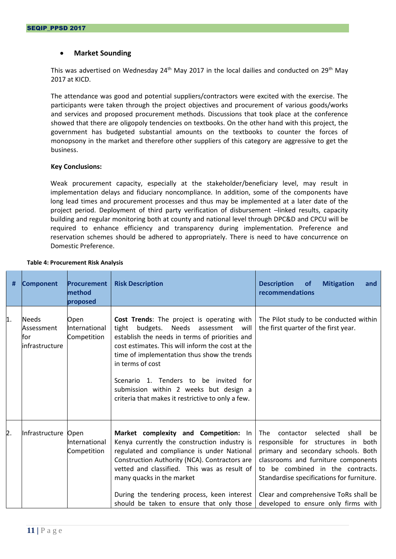## **Market Sounding**

<span id="page-17-0"></span>This was advertised on Wednesday 24<sup>th</sup> May 2017 in the local dailies and conducted on 29<sup>th</sup> May 2017 at KICD.

The attendance was good and potential suppliers/contractors were excited with the exercise. The participants were taken through the project objectives and procurement of various goods/works and services and proposed procurement methods. Discussions that took place at the conference showed that there are oligopoly tendencies on textbooks. On the other hand with this project, the government has budgeted substantial amounts on the textbooks to counter the forces of monopsony in the market and therefore other suppliers of this category are aggressive to get the business.

### **Key Conclusions:**

Weak procurement capacity, especially at the stakeholder/beneficiary level, may result in implementation delays and fiduciary noncompliance. In addition, some of the components have long lead times and procurement processes and thus may be implemented at a later date of the project period. Deployment of third party verification of disbursement –linked results, capacity building and regular monitoring both at county and national level through DPC&D and CPCU will be required to enhance efficiency and transparency during implementation. Preference and reservation schemes should be adhered to appropriately. There is need to have concurrence on Domestic Preference.

| #  | <b>Component</b>                               | <b>Procurement</b><br>method<br>proposed | <b>Risk Description</b>                                                                                                                                                                                                                                                                                                                                                                                             | <b>Description</b><br><b>Mitigation</b><br><b>of</b><br>and<br>recommendations                                                                                                                                                                                                                                                   |
|----|------------------------------------------------|------------------------------------------|---------------------------------------------------------------------------------------------------------------------------------------------------------------------------------------------------------------------------------------------------------------------------------------------------------------------------------------------------------------------------------------------------------------------|----------------------------------------------------------------------------------------------------------------------------------------------------------------------------------------------------------------------------------------------------------------------------------------------------------------------------------|
| 1. | Needs<br>Assessment<br>lfor<br>linfrastructure | Open<br>International<br>Competition     | <b>Cost Trends:</b> The project is operating with<br>Needs assessment<br>budgets.<br>tight<br>will<br>establish the needs in terms of priorities and<br>cost estimates. This will inform the cost at the<br>time of implementation thus show the trends<br>in terms of cost<br>Scenario 1. Tenders to be invited for<br>submission within 2 weeks but design a<br>criteria that makes it restrictive to only a few. | The Pilot study to be conducted within<br>the first quarter of the first year.                                                                                                                                                                                                                                                   |
| 2. | Infrastructure Open                            | International<br>Competition             | Market complexity and Competition: In<br>Kenya currently the construction industry is<br>regulated and compliance is under National<br>Construction Authority (NCA). Contractors are<br>vetted and classified. This was as result of<br>many quacks in the market<br>During the tendering process, keen interest<br>should be taken to ensure that only those                                                       | shall<br>The<br>contactor<br>selected<br>be<br>responsible for structures in both<br>primary and secondary schools. Both<br>classrooms and furniture components<br>to be combined in the contracts.<br>Standardise specifications for furniture.<br>Clear and comprehensive ToRs shall be<br>developed to ensure only firms with |

#### <span id="page-17-1"></span>**Table 4: Procurement Risk Analysis**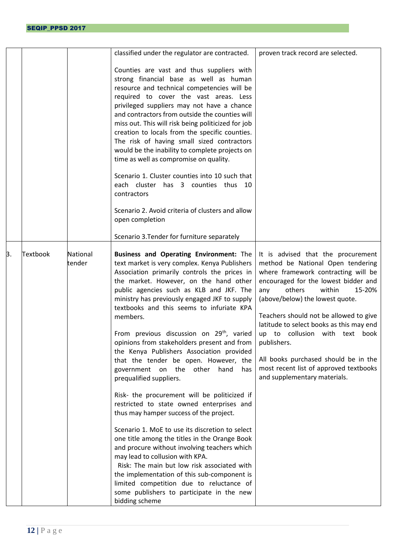|    |                 |                    | classified under the regulator are contracted.                                                                                                                                                                                                                                                                                                                                                                                                                                                                                                                                                                                                                                                                                                         | proven track record are selected.                                                                                                                                                                                                                                                                                                                                                                                                                                                       |
|----|-----------------|--------------------|--------------------------------------------------------------------------------------------------------------------------------------------------------------------------------------------------------------------------------------------------------------------------------------------------------------------------------------------------------------------------------------------------------------------------------------------------------------------------------------------------------------------------------------------------------------------------------------------------------------------------------------------------------------------------------------------------------------------------------------------------------|-----------------------------------------------------------------------------------------------------------------------------------------------------------------------------------------------------------------------------------------------------------------------------------------------------------------------------------------------------------------------------------------------------------------------------------------------------------------------------------------|
|    |                 |                    | Counties are vast and thus suppliers with<br>strong financial base as well as human<br>resource and technical competencies will be<br>required to cover the vast areas. Less<br>privileged suppliers may not have a chance<br>and contractors from outside the counties will<br>miss out. This will risk being politicized for job<br>creation to locals from the specific counties.<br>The risk of having small sized contractors<br>would be the inability to complete projects on<br>time as well as compromise on quality.                                                                                                                                                                                                                         |                                                                                                                                                                                                                                                                                                                                                                                                                                                                                         |
|    |                 |                    | Scenario 1. Cluster counties into 10 such that<br>each cluster has 3 counties thus 10<br>contractors                                                                                                                                                                                                                                                                                                                                                                                                                                                                                                                                                                                                                                                   |                                                                                                                                                                                                                                                                                                                                                                                                                                                                                         |
|    |                 |                    | Scenario 2. Avoid criteria of clusters and allow<br>open completion                                                                                                                                                                                                                                                                                                                                                                                                                                                                                                                                                                                                                                                                                    |                                                                                                                                                                                                                                                                                                                                                                                                                                                                                         |
|    |                 |                    | Scenario 3. Tender for furniture separately                                                                                                                                                                                                                                                                                                                                                                                                                                                                                                                                                                                                                                                                                                            |                                                                                                                                                                                                                                                                                                                                                                                                                                                                                         |
| 3. | <b>Textbook</b> | National<br>tender | Business and Operating Environment: The<br>text market is very complex. Kenya Publishers<br>Association primarily controls the prices in<br>the market. However, on the hand other<br>public agencies such as KLB and JKF. The<br>ministry has previously engaged JKF to supply<br>textbooks and this seems to infuriate KPA<br>members.<br>From previous discussion on 29 <sup>th</sup> , varied<br>opinions from stakeholders present and from<br>the Kenya Publishers Association provided<br>that the tender be open. However, the<br>government on<br>the other<br>hand<br>has<br>prequalified suppliers.<br>Risk- the procurement will be politicized if<br>restricted to state owned enterprises and<br>thus may hamper success of the project. | It is advised that the procurement<br>method be National Open tendering<br>where framework contracting will be<br>encouraged for the lowest bidder and<br>others<br>within<br>15-20%<br>any<br>(above/below) the lowest quote.<br>Teachers should not be allowed to give<br>latitude to select books as this may end<br>up to collusion with text book<br>publishers.<br>All books purchased should be in the<br>most recent list of approved textbooks<br>and supplementary materials. |
|    |                 |                    | Scenario 1. MoE to use its discretion to select<br>one title among the titles in the Orange Book<br>and procure without involving teachers which<br>may lead to collusion with KPA.<br>Risk: The main but low risk associated with<br>the implementation of this sub-component is<br>limited competition due to reluctance of<br>some publishers to participate in the new<br>bidding scheme                                                                                                                                                                                                                                                                                                                                                           |                                                                                                                                                                                                                                                                                                                                                                                                                                                                                         |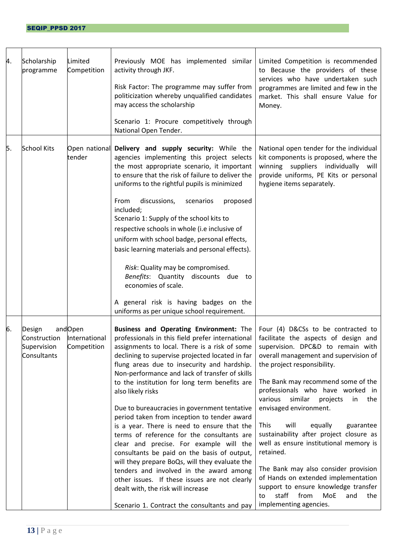| А. | Scholarship<br>programme                             | Limited<br>Competition                  | Previously MOE has implemented similar<br>activity through JKF.<br>Risk Factor: The programme may suffer from<br>politicization whereby unqualified candidates<br>may access the scholarship<br>Scenario 1: Procure competitively through<br>National Open Tender.                                                                                                                                                                                                                                                                                                                                                                                                                                                                                                                                                                                                                               | Limited Competition is recommended<br>to Because the providers of these<br>services who have undertaken such<br>programmes are limited and few in the<br>market. This shall ensure Value for<br>Money.                                                                                                                                                                                                                                                                                                                                                                                                                                                                            |
|----|------------------------------------------------------|-----------------------------------------|--------------------------------------------------------------------------------------------------------------------------------------------------------------------------------------------------------------------------------------------------------------------------------------------------------------------------------------------------------------------------------------------------------------------------------------------------------------------------------------------------------------------------------------------------------------------------------------------------------------------------------------------------------------------------------------------------------------------------------------------------------------------------------------------------------------------------------------------------------------------------------------------------|-----------------------------------------------------------------------------------------------------------------------------------------------------------------------------------------------------------------------------------------------------------------------------------------------------------------------------------------------------------------------------------------------------------------------------------------------------------------------------------------------------------------------------------------------------------------------------------------------------------------------------------------------------------------------------------|
| 5. | <b>School Kits</b>                                   | Open national<br>tender                 | Delivery and supply security: While the<br>agencies implementing this project selects<br>the most appropriate scenario, it important<br>to ensure that the risk of failure to deliver the<br>uniforms to the rightful pupils is minimized<br>discussions,<br>From<br>scenarios<br>proposed<br>included;<br>Scenario 1: Supply of the school kits to<br>respective schools in whole (i.e inclusive of<br>uniform with school badge, personal effects,<br>basic learning materials and personal effects).<br>Risk: Quality may be compromised.<br>Benefits: Quantity discounts due to<br>economies of scale.<br>A general risk is having badges on the<br>uniforms as per unique school requirement.                                                                                                                                                                                               | National open tender for the individual<br>kit components is proposed, where the<br>winning suppliers individually will<br>provide uniforms, PE Kits or personal<br>hygiene items separately.                                                                                                                                                                                                                                                                                                                                                                                                                                                                                     |
| 6. | Design<br>Construction<br>Supervision<br>Consultants | andOpen<br>International<br>Competition | Business and Operating Environment: The<br>professionals in this field prefer international<br>assignments to local. There is a risk of some<br>declining to supervise projected located in far<br>flung areas due to insecurity and hardship.<br>Non-performance and lack of transfer of skills<br>to the institution for long term benefits are<br>also likely risks<br>Due to bureaucracies in government tentative<br>period taken from inception to tender award<br>is a year. There is need to ensure that the<br>terms of reference for the consultants are<br>clear and precise. For example will the<br>consultants be paid on the basis of output,<br>will they prepare BoQs, will they evaluate the<br>tenders and involved in the award among<br>other issues. If these issues are not clearly<br>dealt with, the risk will increase<br>Scenario 1. Contract the consultants and pay | Four (4) D&CSs to be contracted to<br>facilitate the aspects of design and<br>supervision. DPC&D to remain with<br>overall management and supervision of<br>the project responsibility.<br>The Bank may recommend some of the<br>professionals who have worked in<br>various<br>similar<br>projects<br>in<br>the<br>envisaged environment.<br>will<br>equally<br>This<br>guarantee<br>sustainability after project closure as<br>well as ensure institutional memory is<br>retained.<br>The Bank may also consider provision<br>of Hands on extended implementation<br>support to ensure knowledge transfer<br>staff<br>from<br>MoE<br>and<br>the<br>to<br>implementing agencies. |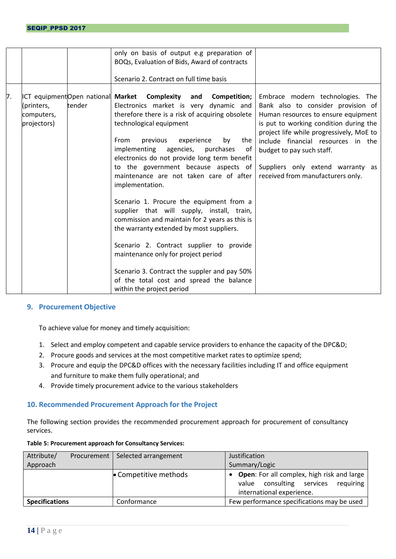|    |                                         |        | only on basis of output e.g preparation of<br>BOQs, Evaluation of Bids, Award of contracts<br>Scenario 2. Contract on full time basis                                                                                                                                                                                                                                                                                                                                                                                                                                                                                                                                                                                                                                                                                                                        |                                                                                                                                                                                                                                                                                                                                                  |
|----|-----------------------------------------|--------|--------------------------------------------------------------------------------------------------------------------------------------------------------------------------------------------------------------------------------------------------------------------------------------------------------------------------------------------------------------------------------------------------------------------------------------------------------------------------------------------------------------------------------------------------------------------------------------------------------------------------------------------------------------------------------------------------------------------------------------------------------------------------------------------------------------------------------------------------------------|--------------------------------------------------------------------------------------------------------------------------------------------------------------------------------------------------------------------------------------------------------------------------------------------------------------------------------------------------|
|    |                                         |        |                                                                                                                                                                                                                                                                                                                                                                                                                                                                                                                                                                                                                                                                                                                                                                                                                                                              |                                                                                                                                                                                                                                                                                                                                                  |
| 7. | (printers,<br>computers,<br>projectors) | tender | <b>ICT equipment Open national Market Complexity</b><br>Competition;<br>and<br>Electronics market is very dynamic and<br>therefore there is a risk of acquiring obsolete<br>technological equipment<br>previous<br>experience<br>From<br>by<br>the<br>implementing<br>agencies,<br>purchases<br>of<br>electronics do not provide long term benefit<br>to the government because aspects of<br>maintenance are not taken care of after<br>implementation.<br>Scenario 1. Procure the equipment from a<br>supplier that will supply, install, train,<br>commission and maintain for 2 years as this is<br>the warranty extended by most suppliers.<br>Scenario 2. Contract supplier to provide<br>maintenance only for project period<br>Scenario 3. Contract the suppler and pay 50%<br>of the total cost and spread the balance<br>within the project period | Embrace modern technologies. The<br>Bank also to consider provision of<br>Human resources to ensure equipment<br>is put to working condition during the<br>project life while progressively, MoE to<br>include financial resources in the<br>budget to pay such staff.<br>Suppliers only extend warranty as<br>received from manufacturers only. |

## <span id="page-20-0"></span>**9. Procurement Objective**

To achieve value for money and timely acquisition:

- 1. Select and employ competent and capable service providers to enhance the capacity of the DPC&D;
- 2. Procure goods and services at the most competitive market rates to optimize spend;
- 3. Procure and equip the DPC&D offices with the necessary facilities including IT and office equipment and furniture to make them fully operational; and
- 4. Provide timely procurement advice to the various stakeholders

# <span id="page-20-1"></span>**10. Recommended Procurement Approach for the Project**

The following section provides the recommended procurement approach for procurement of consultancy services.

<span id="page-20-2"></span>

|  | Table 5: Procurement approach for Consultancy Services: |
|--|---------------------------------------------------------|
|--|---------------------------------------------------------|

| Attribute/            | Procurement   Selected arrangement | Justification                                                                                                        |  |  |
|-----------------------|------------------------------------|----------------------------------------------------------------------------------------------------------------------|--|--|
| Approach              |                                    | Summary/Logic                                                                                                        |  |  |
|                       | • Competitive methods              | Open: For all complex, high risk and large<br>consulting services<br>requiring<br>value<br>international experience. |  |  |
| <b>Specifications</b> | Conformance                        | Few performance specifications may be used                                                                           |  |  |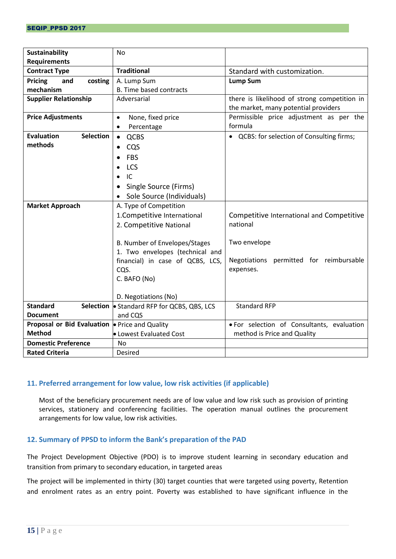| Sustainability                                         | <b>No</b>                                   |                                              |
|--------------------------------------------------------|---------------------------------------------|----------------------------------------------|
| <b>Requirements</b>                                    |                                             |                                              |
| <b>Contract Type</b>                                   | <b>Traditional</b>                          | Standard with customization.                 |
| <b>Pricing</b><br>and<br>costing                       | A. Lump Sum                                 | <b>Lump Sum</b>                              |
| mechanism                                              | <b>B. Time based contracts</b>              |                                              |
| <b>Supplier Relationship</b>                           | Adversarial                                 | there is likelihood of strong competition in |
|                                                        |                                             | the market, many potential providers         |
| <b>Price Adjustments</b>                               | None, fixed price<br>$\bullet$              | Permissible price adjustment as per the      |
|                                                        | Percentage                                  | formula                                      |
| <b>Selection</b><br><b>Evaluation</b>                  | QCBS<br>$\bullet$                           | • QCBS: for selection of Consulting firms;   |
| methods                                                | CQS                                         |                                              |
|                                                        | <b>FBS</b>                                  |                                              |
|                                                        | <b>LCS</b>                                  |                                              |
|                                                        | IC                                          |                                              |
|                                                        | Single Source (Firms)                       |                                              |
|                                                        | Sole Source (Individuals)                   |                                              |
| <b>Market Approach</b>                                 | A. Type of Competition                      |                                              |
|                                                        | 1. Competitive International                | Competitive International and Competitive    |
|                                                        | 2. Competitive National                     | national                                     |
|                                                        |                                             |                                              |
|                                                        | B. Number of Envelopes/Stages               | Two envelope                                 |
|                                                        | 1. Two envelopes (technical and             |                                              |
|                                                        | financial) in case of QCBS, LCS,            | Negotiations permitted for reimbursable      |
|                                                        | CQS.                                        | expenses.                                    |
|                                                        | C. BAFO (No)                                |                                              |
|                                                        |                                             |                                              |
|                                                        | D. Negotiations (No)                        |                                              |
| <b>Standard</b>                                        | Selection   Standard RFP for QCBS, QBS, LCS | <b>Standard RFP</b>                          |
| <b>Document</b>                                        | and CQS                                     |                                              |
| Proposal or Bid Evaluation $\bullet$ Price and Quality |                                             | . For selection of Consultants, evaluation   |
| <b>Method</b>                                          | • Lowest Evaluated Cost                     | method is Price and Quality                  |
| <b>Domestic Preference</b>                             | <b>No</b>                                   |                                              |
| <b>Rated Criteria</b>                                  | Desired                                     |                                              |

# <span id="page-21-0"></span>**11. Preferred arrangement for low value, low risk activities (if applicable)**

Most of the beneficiary procurement needs are of low value and low risk such as provision of printing services, stationery and conferencing facilities. The operation manual outlines the procurement arrangements for low value, low risk activities.

# <span id="page-21-1"></span>**12. Summary of PPSD to inform the Bank's preparation of the PAD**

The Project Development Objective (PDO) is to improve student learning in secondary education and transition from primary to secondary education, in targeted areas

The project will be implemented in thirty (30) target counties that were targeted using poverty, Retention and enrolment rates as an entry point. Poverty was established to have significant influence in the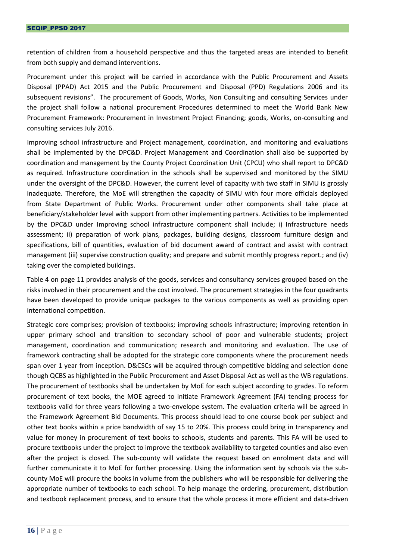retention of children from a household perspective and thus the targeted areas are intended to benefit from both supply and demand interventions.

Procurement under this project will be carried in accordance with the Public Procurement and Assets Disposal (PPAD) Act 2015 and the Public Procurement and Disposal (PPD) Regulations 2006 and its subsequent revisions". The procurement of Goods, Works, Non Consulting and consulting Services under the project shall follow a national procurement Procedures determined to meet the World Bank New Procurement Framework: Procurement in Investment Project Financing; goods, Works, on-consulting and consulting services July 2016.

Improving school infrastructure and Project management, coordination, and monitoring and evaluations shall be implemented by the DPC&D. Project Management and Coordination shall also be supported by coordination and management by the County Project Coordination Unit (CPCU) who shall report to DPC&D as required. Infrastructure coordination in the schools shall be supervised and monitored by the SIMU under the oversight of the DPC&D. However, the current level of capacity with two staff in SIMU is grossly inadequate. Therefore, the MoE will strengthen the capacity of SIMU with four more officials deployed from State Department of Public Works. Procurement under other components shall take place at beneficiary/stakeholder level with support from other implementing partners. Activities to be implemented by the DPC&D under Improving school infrastructure component shall include; i) Infrastructure needs assessment; ii) preparation of work plans, packages, building designs, classroom furniture design and specifications, bill of quantities, evaluation of bid document award of contract and assist with contract management (iii) supervise construction quality; and prepare and submit monthly progress report.; and (iv) taking over the completed buildings.

Table 4 on page 11 provides analysis of the goods, services and consultancy services grouped based on the risks involved in their procurement and the cost involved. The procurement strategies in the four quadrants have been developed to provide unique packages to the various components as well as providing open international competition.

Strategic core comprises; provision of textbooks; improving schools infrastructure; improving retention in upper primary school and transition to secondary school of poor and vulnerable students; project management, coordination and communication; research and monitoring and evaluation. The use of framework contracting shall be adopted for the strategic core components where the procurement needs span over 1 year from inception. D&CSCs will be acquired through competitive bidding and selection done though QCBS as highlighted in the Public Procurement and Asset Disposal Act as well as the WB regulations. The procurement of textbooks shall be undertaken by MoE for each subject according to grades. To reform procurement of text books, the MOE agreed to initiate Framework Agreement (FA) tending process for textbooks valid for three years following a two-envelope system. The evaluation criteria will be agreed in the Framework Agreement Bid Documents. This process should lead to one course book per subject and other text books within a price bandwidth of say 15 to 20%. This process could bring in transparency and value for money in procurement of text books to schools, students and parents. This FA will be used to procure textbooks under the project to improve the textbook availability to targeted counties and also even after the project is closed. The sub-county will validate the request based on enrolment data and will further communicate it to MoE for further processing. Using the information sent by schools via the subcounty MoE will procure the books in volume from the publishers who will be responsible for delivering the appropriate number of textbooks to each school. To help manage the ordering, procurement, distribution and textbook replacement process, and to ensure that the whole process it more efficient and data-driven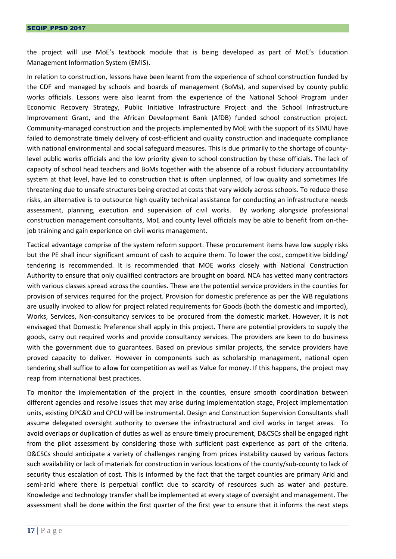the project will use MoE's textbook module that is being developed as part of MoE's Education Management Information System (EMIS).

In relation to construction, lessons have been learnt from the experience of school construction funded by the CDF and managed by schools and boards of management (BoMs), and supervised by county public works officials. Lessons were also learnt from the experience of the National School Program under Economic Recovery Strategy, Public Initiative Infrastructure Project and the School Infrastructure Improvement Grant, and the African Development Bank (AfDB) funded school construction project. Community-managed construction and the projects implemented by MoE with the support of its SIMU have failed to demonstrate timely delivery of cost-efficient and quality construction and inadequate compliance with national environmental and social safeguard measures. This is due primarily to the shortage of countylevel public works officials and the low priority given to school construction by these officials. The lack of capacity of school head teachers and BoMs together with the absence of a robust fiduciary accountability system at that level, have led to construction that is often unplanned, of low quality and sometimes life threatening due to unsafe structures being erected at costs that vary widely across schools. To reduce these risks, an alternative is to outsource high quality technical assistance for conducting an infrastructure needs assessment, planning, execution and supervision of civil works. By working alongside professional construction management consultants, MoE and county level officials may be able to benefit from on-thejob training and gain experience on civil works management.

Tactical advantage comprise of the system reform support. These procurement items have low supply risks but the PE shall incur significant amount of cash to acquire them. To lower the cost, competitive bidding/ tendering is recommended. It is recommended that MOE works closely with National Construction Authority to ensure that only qualified contractors are brought on board. NCA has vetted many contractors with various classes spread across the counties. These are the potential service providers in the counties for provision of services required for the project. Provision for domestic preference as per the WB regulations are usually invoked to allow for project related requirements for Goods (both the domestic and imported), Works, Services, Non-consultancy services to be procured from the domestic market. However, it is not envisaged that Domestic Preference shall apply in this project. There are potential providers to supply the goods, carry out required works and provide consultancy services. The providers are keen to do business with the government due to guarantees. Based on previous similar projects, the service providers have proved capacity to deliver. However in components such as scholarship management, national open tendering shall suffice to allow for competition as well as Value for money. If this happens, the project may reap from international best practices.

To monitor the implementation of the project in the counties, ensure smooth coordination between different agencies and resolve issues that may arise during implementation stage, Project implementation units, existing DPC&D and CPCU will be instrumental. Design and Construction Supervision Consultants shall assume delegated oversight authority to oversee the infrastructural and civil works in target areas. To avoid overlaps or duplication of duties as well as ensure timely procurement, D&CSCs shall be engaged right from the pilot assessment by considering those with sufficient past experience as part of the criteria. D&CSCs should anticipate a variety of challenges ranging from prices instability caused by various factors such availability or lack of materials for construction in various locations of the county/sub-county to lack of security thus escalation of cost. This is informed by the fact that the target counties are primary Arid and semi-arid where there is perpetual conflict due to scarcity of resources such as water and pasture. Knowledge and technology transfer shall be implemented at every stage of oversight and management. The assessment shall be done within the first quarter of the first year to ensure that it informs the next steps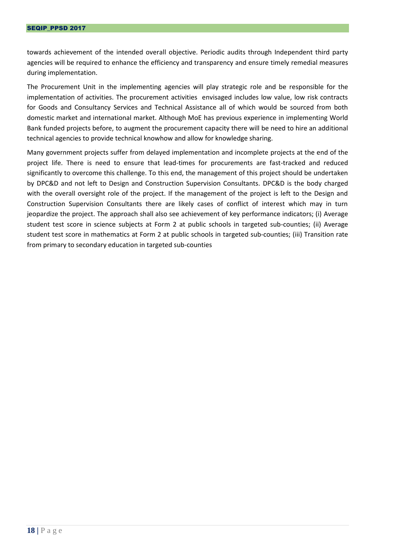towards achievement of the intended overall objective. Periodic audits through Independent third party agencies will be required to enhance the efficiency and transparency and ensure timely remedial measures during implementation.

The Procurement Unit in the implementing agencies will play strategic role and be responsible for the implementation of activities. The procurement activities envisaged includes low value, low risk contracts for Goods and Consultancy Services and Technical Assistance all of which would be sourced from both domestic market and international market. Although MoE has previous experience in implementing World Bank funded projects before, to augment the procurement capacity there will be need to hire an additional technical agencies to provide technical knowhow and allow for knowledge sharing.

Many government projects suffer from delayed implementation and incomplete projects at the end of the project life. There is need to ensure that lead-times for procurements are fast-tracked and reduced significantly to overcome this challenge. To this end, the management of this project should be undertaken by DPC&D and not left to Design and Construction Supervision Consultants. DPC&D is the body charged with the overall oversight role of the project. If the management of the project is left to the Design and Construction Supervision Consultants there are likely cases of conflict of interest which may in turn jeopardize the project. The approach shall also see achievement of key performance indicators; (i) Average student test score in science subjects at Form 2 at public schools in targeted sub-counties; (ii) Average student test score in mathematics at Form 2 at public schools in targeted sub-counties; (iii) Transition rate from primary to secondary education in targeted sub-counties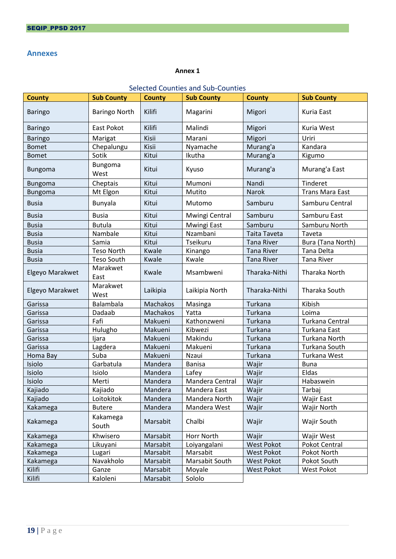## <span id="page-25-0"></span>**Annexes**

# **Annex 1**

# Selected Counties and Sub-Counties

| <b>County</b>   | <b>Sub County</b>    | <b>County</b> | <b>Sub County</b> | <b>County</b>       | <b>Sub County</b>      |
|-----------------|----------------------|---------------|-------------------|---------------------|------------------------|
| <b>Baringo</b>  | <b>Baringo North</b> | Kilifi        | Magarini          | Migori              | Kuria East             |
| <b>Baringo</b>  | East Pokot           | Kilifi        | Malindi           | Migori              | Kuria West             |
| <b>Baringo</b>  | Marigat              | Kisii         | Marani            | Migori              | Uriri                  |
| <b>Bomet</b>    | Chepalungu           | Kisii         | Nyamache          | Murang'a            | Kandara                |
| <b>Bomet</b>    | Sotik                | Kitui         | Ikutha            | Murang'a            | Kigumo                 |
| <b>Bungoma</b>  | Bungoma<br>West      | Kitui         | Kyuso             | Murang'a            | Murang'a East          |
| Bungoma         | Cheptais             | Kitui         | Mumoni            | Nandi               | Tinderet               |
| <b>Bungoma</b>  | Mt Elgon             | Kitui         | Mutito            | Narok               | <b>Trans Mara East</b> |
| <b>Busia</b>    | Bunyala              | Kitui         | Mutomo            | Samburu             | Samburu Central        |
| <b>Busia</b>    | <b>Busia</b>         | Kitui         | Mwingi Central    | Samburu             | Samburu East           |
| <b>Busia</b>    | <b>Butula</b>        | Kitui         | Mwingi East       | Samburu             | Samburu North          |
| <b>Busia</b>    | Nambale              | Kitui         | Nzambani          | <b>Taita Taveta</b> | Taveta                 |
| <b>Busia</b>    | Samia                | Kitui         | Tseikuru          | <b>Tana River</b>   | Bura (Tana North)      |
| <b>Busia</b>    | <b>Teso North</b>    | Kwale         | Kinango           | <b>Tana River</b>   | Tana Delta             |
| <b>Busia</b>    | Teso South           | Kwale         | Kwale             | <b>Tana River</b>   | Tana River             |
| Elgeyo Marakwet | Marakwet<br>East     | Kwale         | Msambweni         | Tharaka-Nithi       | Tharaka North          |
| Elgeyo Marakwet | Marakwet<br>West     | Laikipia      | Laikipia North    | Tharaka-Nithi       | Tharaka South          |
| Garissa         | Balambala            | Machakos      | Masinga           | Turkana             | Kibish                 |
| Garissa         | Dadaab               | Machakos      | Yatta             | Turkana             | Loima                  |
| Garissa         | Fafi                 | Makueni       | Kathonzweni       | Turkana             | Turkana Central        |
| Garissa         | Hulugho              | Makueni       | Kibwezi           | Turkana             | Turkana East           |
| Garissa         | ljara                | Makueni       | Makindu           | Turkana             | Turkana North          |
| Garissa         | Lagdera              | Makueni       | Makueni           | Turkana             | Turkana South          |
| Homa Bay        | Suba                 | Makueni       | Nzaui             | Turkana             | Turkana West           |
| Isiolo          | Garbatula            | Mandera       | <b>Banisa</b>     | Wajir               | <b>Buna</b>            |
| Isiolo          | Isiolo               | Mandera       | Lafey             | Wajir               | Eldas                  |
| Isiolo          | Merti                | Mandera       | Mandera Central   | Wajir               | Habaswein              |
| Kajiado         | Kajiado              | Mandera       | Mandera East      | Wajir               | Tarbaj                 |
| Kajiado         | Loitokitok           | Mandera       | Mandera North     | Wajir               | <b>Wajir East</b>      |
| Kakamega        | <b>Butere</b>        | Mandera       | Mandera West      | Wajir               | Wajir North            |
| Kakamega        | Kakamega<br>South    | Marsabit      | Chalbi            | Wajir               | Wajir South            |
| Kakamega        | Khwisero             | Marsabit      | Horr North        | Wajir               | Wajir West             |
| Kakamega        | Likuyani             | Marsabit      | Loiyangalani      | <b>West Pokot</b>   | Pokot Central          |
| Kakamega        | Lugari               | Marsabit      | Marsabit          | West Pokot          | Pokot North            |
| Kakamega        | Navakholo            | Marsabit      | Marsabit South    | West Pokot          | Pokot South            |
| Kilifi          | Ganze                | Marsabit      | Moyale            | <b>West Pokot</b>   | West Pokot             |
| Kilifi          | Kaloleni             | Marsabit      | Sololo            |                     |                        |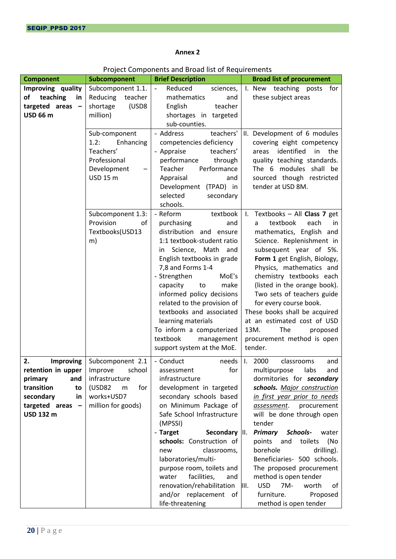### **Annex 2**

|                                            |                                            | r roject components and broad not or negaliements |                                          |
|--------------------------------------------|--------------------------------------------|---------------------------------------------------|------------------------------------------|
| <b>Component</b>                           | Subcomponent                               | <b>Brief Description</b>                          | <b>Broad list of procurement</b>         |
| Improving quality                          | Subcomponent $1.1$ . $\vert$ -             | Reduced                                           | sciences,   I. New teaching posts<br>for |
| teaching<br>of<br>in                       | teacher<br>Reducing                        | mathematics<br>and                                | these subject areas                      |
| targeted areas<br>$\overline{\phantom{0}}$ | shortage<br>(USD8                          | English<br>teacher                                |                                          |
| <b>USD 66 m</b>                            | million)                                   | shortages in targeted                             |                                          |
|                                            |                                            | sub-counties.                                     |                                          |
|                                            | Sub-component                              | - Address<br>teachers'                            | II. Development of 6 modules             |
|                                            | 1.2:<br>Enhancing                          | competencies deficiency                           | covering eight competency                |
|                                            | Teachers'                                  | teachers'<br>- Appraise                           | identified<br>in<br>the<br>areas         |
|                                            | Professional                               | performance<br>through                            | quality teaching standards.              |
|                                            | Development                                | Teacher<br>Performance                            | The 6 modules shall be                   |
|                                            | <b>USD 15 m</b>                            | Appraisal<br>and                                  | sourced though restricted                |
|                                            |                                            | Development (TPAD) in                             | tender at USD 8M.                        |
|                                            |                                            | selected<br>secondary                             |                                          |
|                                            |                                            | schools.                                          |                                          |
|                                            | Subcomponent 1.3:                          | - Reform<br>textbook                              | Textbooks - All Class 7 get<br>Ι.        |
|                                            |                                            |                                                   |                                          |
|                                            | Provision<br>of                            | purchasing<br>and                                 | textbook<br>each<br>in.<br>a             |
|                                            | Textbooks(USD13                            | distribution and ensure                           | mathematics, English and                 |
|                                            | m)                                         | 1:1 textbook-student ratio                        | Science. Replenishment in                |
|                                            |                                            | in Science, Math and                              | subsequent year of 5%.                   |
|                                            |                                            | English textbooks in grade                        | Form 1 get English, Biology,             |
|                                            |                                            | 7,8 and Forms 1-4                                 | Physics, mathematics and                 |
|                                            |                                            | - Strengthen<br>MoE's                             | chemistry textbooks each                 |
|                                            |                                            | capacity to<br>make                               | (listed in the orange book).             |
|                                            |                                            | informed policy decisions                         | Two sets of teachers guide               |
|                                            |                                            | related to the provision of                       | for every course book.                   |
|                                            |                                            | textbooks and associated                          | These books shall be acquired            |
|                                            |                                            | learning materials                                | at an estimated cost of USD              |
|                                            |                                            | To inform a computerized                          | 13M.<br>The<br>proposed                  |
|                                            |                                            | textbook<br>management                            | procurement method is open               |
|                                            |                                            | support system at the MoE.                        | tender.                                  |
| 2.<br>Improving                            | Subcomponent 2.1                           | - Conduct                                         | needs 1. 2000<br>classrooms<br>and       |
|                                            | <b>retention in upper</b>   Improve school | for<br>assessment                                 | multipurpose labs<br>and                 |
| primary<br>and                             | infrastructure                             | infrastructure                                    | dormitories for secondary                |
| transition<br>to                           | for<br>(USD82)<br>m                        | development in targeted                           | schools. Major construction              |
| secondary<br>in                            | works+USD7                                 | secondary schools based                           | in first year prior to needs             |
| targeted areas $-$                         | million for goods)                         | on Minimum Package of                             | assessment.                              |
| <b>USD 132 m</b>                           |                                            | Safe School Infrastructure                        | procurement<br>will be done through open |
|                                            |                                            |                                                   |                                          |
|                                            |                                            | (MPSSI)                                           | tender                                   |
|                                            |                                            | - Target<br>Secondary  II.                        | <b>Primary</b><br>Schools-<br>water      |
|                                            |                                            | schools: Construction of                          | points and toilets<br>(No                |
|                                            |                                            | classrooms,<br>new                                | borehole<br>drilling).                   |
|                                            |                                            | laboratories/multi-                               | Beneficiaries- 500 schools.              |
|                                            |                                            | purpose room, toilets and                         | The proposed procurement                 |
|                                            |                                            | facilities,<br>water<br>and                       | method is open tender                    |
|                                            |                                            | renovation/rehabilitation                         | <b>USD</b><br>7M-<br>worth<br>III.<br>of |
|                                            |                                            | and/or replacement of                             | furniture.<br>Proposed                   |
|                                            |                                            | life-threatening                                  | method is open tender                    |

# Project Components and Broad list of Requirements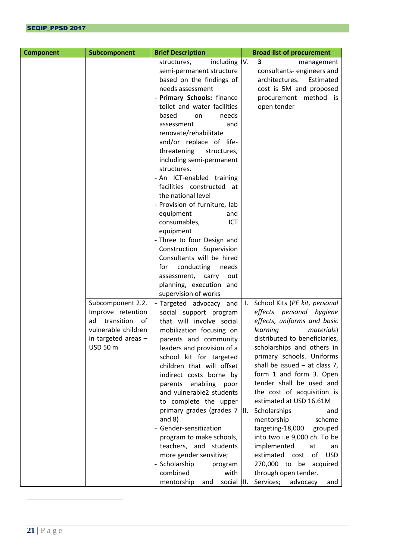| <b>Component</b> | Subcomponent                                                                                                               | <b>Brief Description</b>                                                                                                                                                                                                                                                                                                                                                                                                                                                                                                                                                                                                                                                                                                        |              | <b>Broad list of procurement</b>                                                                                                                                                                                                                                                                                                                                                                                                                                                                                                                                                                                                         |
|------------------|----------------------------------------------------------------------------------------------------------------------------|---------------------------------------------------------------------------------------------------------------------------------------------------------------------------------------------------------------------------------------------------------------------------------------------------------------------------------------------------------------------------------------------------------------------------------------------------------------------------------------------------------------------------------------------------------------------------------------------------------------------------------------------------------------------------------------------------------------------------------|--------------|------------------------------------------------------------------------------------------------------------------------------------------------------------------------------------------------------------------------------------------------------------------------------------------------------------------------------------------------------------------------------------------------------------------------------------------------------------------------------------------------------------------------------------------------------------------------------------------------------------------------------------------|
|                  |                                                                                                                            | including IV.<br>structures,<br>semi-permanent structure<br>based on the findings of<br>needs assessment<br>- Primary Schools: finance<br>toilet and water facilities<br>based<br>needs<br>on<br>and<br>assessment<br>renovate/rehabilitate<br>and/or replace of life-<br>threatening<br>structures,<br>including semi-permanent<br>structures.<br>- An ICT-enabled training<br>facilities constructed at<br>the national level<br>- Provision of furniture, lab<br>equipment<br>and<br>consumables,<br>ICT<br>equipment<br>- Three to four Design and<br>Construction Supervision<br>Consultants will be hired<br>conducting<br>needs<br>tor<br>assessment,<br>carry<br>out<br>planning, execution and<br>supervision of works |              | 3<br>management<br>consultants-engineers and<br>architectures.<br>Estimated<br>cost is 5M and proposed<br>procurement method is<br>open tender                                                                                                                                                                                                                                                                                                                                                                                                                                                                                           |
|                  | Subcomponent 2.2.<br>Improve retention<br>of<br>transition<br>ad<br>vulnerable children<br>in targeted areas -<br>USD 50 m | - Targeted advocacy and<br>social support program<br>that will involve social<br>mobilization focusing on<br>parents and community<br>leaders and provision of a<br>school kit for targeted<br>children that will offset<br>indirect costs borne by<br>parents enabling poor<br>and vulnerable2 students<br>to complete the upper<br>primary grades (grades 7  II.<br>and $8)$<br>- Gender-sensitization<br>program to make schools,<br>teachers, and students<br>more gender sensitive;<br>- Scholarship<br>program<br>combined<br>with<br>mentorship<br>social III.<br>and                                                                                                                                                    | $\mathbf{L}$ | School Kits (PE kit, personal<br>personal hygiene<br>effects<br>effects, uniforms and basic<br>learning<br>materials)<br>distributed to beneficiaries,<br>scholarships and others in<br>primary schools. Uniforms<br>shall be issued $-$ at class 7,<br>form 1 and form 3. Open<br>tender shall be used and<br>the cost of acquisition is<br>estimated at USD 16.61M<br>Scholarships<br>and<br>mentorship<br>scheme<br>targeting-18,000<br>grouped<br>into two i.e 9,000 ch. To be<br>implemented<br>at<br>an<br>estimated cost<br>of<br><b>USD</b><br>270,000 to be<br>acquired<br>through open tender.<br>Services;<br>advocacy<br>and |

 $\overline{1}$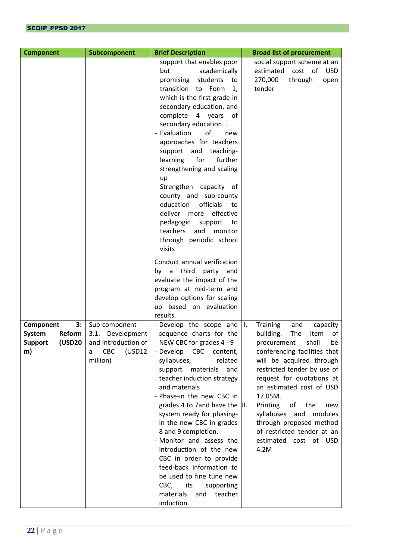| <b>Component</b>                                                      | Subcomponent                                                                                       | <b>Brief Description</b>                                                                                                                                                                                                                                                                                                                                                                                                                                                                                                                                                                                                        | <b>Broad list of procurement</b>                                                                                                                                                                                                                                                                                                                                                                                                        |
|-----------------------------------------------------------------------|----------------------------------------------------------------------------------------------------|---------------------------------------------------------------------------------------------------------------------------------------------------------------------------------------------------------------------------------------------------------------------------------------------------------------------------------------------------------------------------------------------------------------------------------------------------------------------------------------------------------------------------------------------------------------------------------------------------------------------------------|-----------------------------------------------------------------------------------------------------------------------------------------------------------------------------------------------------------------------------------------------------------------------------------------------------------------------------------------------------------------------------------------------------------------------------------------|
|                                                                       |                                                                                                    | support that enables poor<br>but<br>academically<br>students<br>promising<br>to<br>transition<br>to Form<br>1,<br>which is the first grade in<br>secondary education, and<br>complete 4 years of<br>secondary education. .<br>of<br>- Evaluation<br>new<br>approaches for teachers<br>support<br>and teaching-<br>learning<br>for<br>further<br>strengthening and scaling<br>up<br>Strengthen capacity of<br>county and sub-county<br>education<br>officials<br>to<br>deliver more<br>effective<br>pedagogic<br>support<br>to<br>teachers<br>and<br>monitor<br>through periodic school<br>visits<br>Conduct annual verification | social support scheme at an<br>estimated<br>cost of<br><b>USD</b><br>270,000<br>through<br>open<br>tender                                                                                                                                                                                                                                                                                                                               |
|                                                                       |                                                                                                    | third<br>by<br>party<br>a<br>and<br>evaluate the impact of the<br>program at mid-term and<br>develop options for scaling<br>up based on evaluation<br>results.                                                                                                                                                                                                                                                                                                                                                                                                                                                                  |                                                                                                                                                                                                                                                                                                                                                                                                                                         |
| 3:<br>Component<br>System<br>Reform<br>(USD20<br><b>Support</b><br>m) | Sub-component<br>3.1. Development<br>and Introduction of<br><b>CBC</b><br>(USD12)<br>a<br>million) | - Develop the scope and<br>sequence charts for the<br>NEW CBC for grades 4 - 9<br>- Develop CBC<br>content,<br>syllabuses,<br>related<br>support materials<br>and<br>teacher induction strategy<br>and materials<br>- Phase-in the new CBC in<br>grades 4 to 7 and have the III.<br>system ready for phasing-<br>in the new CBC in grades<br>8 and 9 completion.<br>- Monitor and assess the<br>introduction of the new<br>CBC in order to provide<br>feed-back information to<br>be used to fine tune new<br>CBC,<br>its<br>supporting<br>materials<br>and<br>teacher<br>induction.                                            | $\mathbf{I}$ .<br><b>Training</b><br>and<br>capacity<br>building.<br>The<br>item<br>of<br>shall<br>procurement<br>be<br>conferencing facilities that<br>will be acquired through<br>restricted tender by use of<br>request for quotations at<br>an estimated cost of USD<br>17.05M.<br>Printing<br>of the<br>new<br>syllabuses and<br>modules<br>through proposed method<br>of restricted tender at an<br>estimated cost of USD<br>4.2M |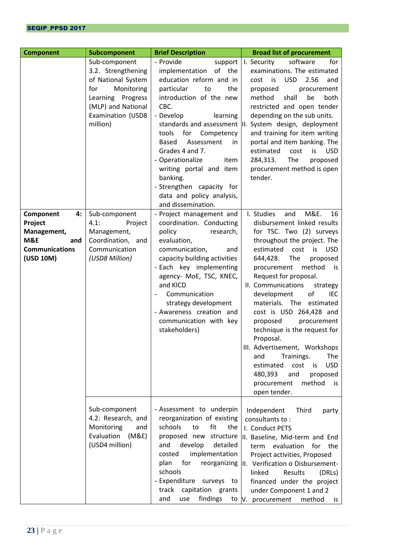| <b>Component</b>                                                                              | Subcomponent                                                                                                                                               | <b>Brief Description</b>                                                                                                                                                                                                                                                                                                                                                                            | <b>Broad list of procurement</b>                                                                                                                                                                                                                                                                                                                                                                                                                                                                                                                                                                                                                         |
|-----------------------------------------------------------------------------------------------|------------------------------------------------------------------------------------------------------------------------------------------------------------|-----------------------------------------------------------------------------------------------------------------------------------------------------------------------------------------------------------------------------------------------------------------------------------------------------------------------------------------------------------------------------------------------------|----------------------------------------------------------------------------------------------------------------------------------------------------------------------------------------------------------------------------------------------------------------------------------------------------------------------------------------------------------------------------------------------------------------------------------------------------------------------------------------------------------------------------------------------------------------------------------------------------------------------------------------------------------|
|                                                                                               | Sub-component<br>3.2. Strengthening<br>of National System<br>Monitoring<br>for<br>Learning Progress<br>(MLP) and National<br>Examination (USD8<br>million) | - Provide<br>support<br>of the<br>implementation<br>education reform and in<br>particular<br>the<br>to<br>introduction of the new<br>CBC.<br>- Develop<br>learning<br>tools<br>for<br>Competency<br>Based<br>Assessment<br>in<br>Grades 4 and 7.<br>- Operationalize<br>item<br>writing portal and item<br>banking.<br>- Strengthen capacity for<br>data and policy analysis,<br>and dissemination. | software<br>I. Security<br>for<br>examinations. The estimated<br><b>USD</b><br>is<br>2.56<br>cost<br>and<br>proposed<br>procurement<br>shall<br>method<br>be<br>both<br>restricted and open tender<br>depending on the sub units.<br>standards and assessment  II. System design, deployment<br>and training for item writing<br>portal and item banking. The<br>estimated<br><b>USD</b><br>cost<br>is<br>284,313.<br>The<br>proposed<br>procurement method is open<br>tender.                                                                                                                                                                           |
| Component<br>4:<br>Project<br>Management,<br>M&E<br>and<br><b>Communications</b><br>(USD 10M) | Sub-component<br>4.1:<br>Project<br>Management,<br>Coordination, and<br>Communication<br>(USD8 Million)                                                    | - Project management and<br>coordination. Conducting<br>policy<br>research,<br>evaluation,<br>communication,<br>and<br>capacity building activities<br>- Each key implementing<br>agency- MoE, TSC, KNEC,<br>and KICD<br>Communication<br>strategy development<br>- Awareness creation and<br>communication with key<br>stakeholders)                                                               | I. Studies<br><b>M&amp;E.</b><br>and<br>16<br>disbursement linked results<br>for TSC. Two (2) surveys<br>throughout the project. The<br>estimated cost<br>is<br><b>USD</b><br>644,428.<br>The<br>proposed<br>method<br>procurement<br>is.<br>Request for proposal.<br>II. Communications<br>strategy<br>of<br>development<br>IEC<br>materials.<br>The<br>estimated<br>cost is USD 264,428 and<br>proposed<br>procurement<br>technique is the request for<br>Proposal.<br>III. Advertisement, Workshops<br>and<br>Trainings.<br>The<br><b>USD</b><br>estimated<br>cost<br>is<br>480,393<br>and<br>proposed<br>method<br>procurement<br>is<br>open tender. |
|                                                                                               | Sub-component<br>4.2: Research, and<br>Monitoring<br>and<br>Evaluation<br>(M&E)<br>(USD4 million)                                                          | - Assessment to underpin<br>reorganization of existing<br>schools<br>to<br>fit<br>the<br>proposed new structure<br>develop<br>and<br>detailed<br>implementation<br>costed<br>plan<br>for<br>reorganizing<br>schools<br>- Expenditure surveys to<br>track<br>capitation grants<br>findings<br>and<br>use<br>to                                                                                       | Independent<br>Third<br>party<br>consultants to:<br>I. Conduct PETS<br>II. Baseline, Mid-term and End<br>term<br>evaluation<br>for the<br>Project activities, Proposed<br>III. Verification o Disbursement-<br>linked<br>Results<br>(DRLs)<br>financed under the project<br>under Component 1 and 2<br>V. procurement<br>method<br>is                                                                                                                                                                                                                                                                                                                    |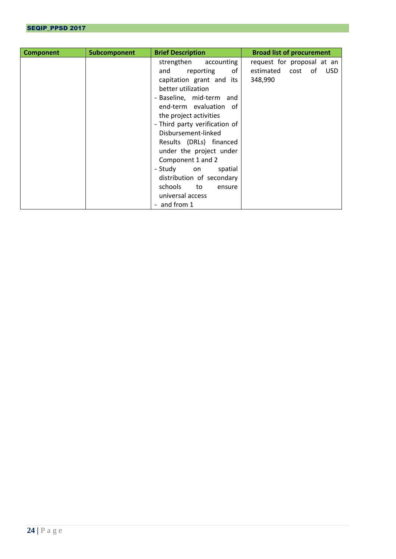| <b>Component</b> | Subcomponent | <b>Brief Description</b>      | <b>Broad list of procurement</b> |
|------------------|--------------|-------------------------------|----------------------------------|
|                  |              | strengthen accounting         | request for proposal at an       |
|                  |              | reporting<br>of<br>and        | estimated cost<br>0f<br>USD      |
|                  |              | capitation grant and its      | 348,990                          |
|                  |              | better utilization            |                                  |
|                  |              | - Baseline, mid-term and      |                                  |
|                  |              | end-term evaluation of        |                                  |
|                  |              | the project activities        |                                  |
|                  |              | - Third party verification of |                                  |
|                  |              | Disbursement-linked           |                                  |
|                  |              | Results (DRLs) financed       |                                  |
|                  |              | under the project under       |                                  |
|                  |              | Component 1 and 2             |                                  |
|                  |              | - Study on<br>spatial         |                                  |
|                  |              | distribution of secondary     |                                  |
|                  |              | schools<br>to<br>ensure       |                                  |
|                  |              | universal access              |                                  |
|                  |              | - and from 1                  |                                  |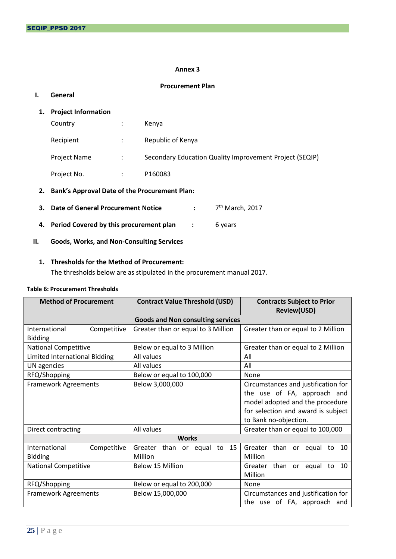### **Annex 3**

### **Procurement Plan**

## **I. General**

## **1. Project Information**

| Country             | ٠ | Kenya                                                   |
|---------------------|---|---------------------------------------------------------|
| Recipient           | ÷ | Republic of Kenya                                       |
| <b>Project Name</b> | ÷ | Secondary Education Quality Improvement Project (SEQIP) |
| Project No.         |   | P160083                                                 |

## **2. Bank's Approval Date of the Procurement Plan:**

- **3. Date of General Procurement Notice :** 7 7<sup>th</sup> March, 2017
- **4. Period Covered by this procurement plan :** 6 years

### **II. Goods, Works, and Non-Consulting Services**

### **1. Thresholds for the Method of Procurement:**

The thresholds below are as stipulated in the procurement manual 2017.

### <span id="page-31-0"></span>**Table 6: Procurement Thresholds**

| <b>Method of Procurement</b>                   | <b>Contract Value Threshold (USD)</b>          | <b>Contracts Subject to Prior</b><br><b>Review(USD)</b>            |  |  |  |
|------------------------------------------------|------------------------------------------------|--------------------------------------------------------------------|--|--|--|
|                                                | <b>Goods and Non consulting services</b>       |                                                                    |  |  |  |
| International<br>Competitive<br><b>Bidding</b> | Greater than or equal to 3 Million             | Greater than or equal to 2 Million                                 |  |  |  |
| <b>National Competitive</b>                    | Below or equal to 3 Million                    | Greater than or equal to 2 Million                                 |  |  |  |
| Limited International Bidding                  | All values                                     | All                                                                |  |  |  |
| UN agencies                                    | All values                                     | All                                                                |  |  |  |
| RFQ/Shopping                                   | Below or equal to 100,000                      | <b>None</b>                                                        |  |  |  |
| <b>Framework Agreements</b>                    | Below 3,000,000                                | Circumstances and justification for                                |  |  |  |
|                                                |                                                | the use of FA, approach and                                        |  |  |  |
|                                                |                                                | model adopted and the procedure                                    |  |  |  |
|                                                |                                                | for selection and award is subject                                 |  |  |  |
|                                                |                                                | to Bank no-objection.                                              |  |  |  |
| Direct contracting                             | All values<br>Greater than or equal to 100,000 |                                                                    |  |  |  |
|                                                | <b>Works</b>                                   |                                                                    |  |  |  |
| International<br>Competitive                   | Greater than or equal to 15                    | Greater than or equal<br>10<br>to                                  |  |  |  |
| <b>Bidding</b>                                 | Million                                        | Million                                                            |  |  |  |
| <b>National Competitive</b>                    | Below 15 Million                               | Greater than or equal<br>10<br>to                                  |  |  |  |
|                                                |                                                | Million                                                            |  |  |  |
| RFQ/Shopping                                   | Below or equal to 200,000                      | None                                                               |  |  |  |
| <b>Framework Agreements</b>                    | Below 15,000,000                               | Circumstances and justification for<br>the use of FA, approach and |  |  |  |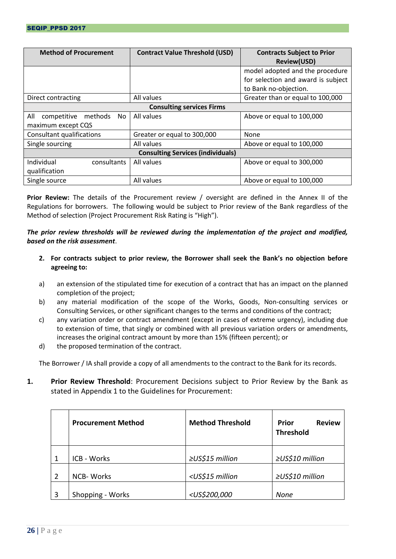| <b>Method of Procurement</b>             | <b>Contract Value Threshold (USD)</b> | <b>Contracts Subject to Prior</b><br><b>Review(USD)</b> |  |  |  |
|------------------------------------------|---------------------------------------|---------------------------------------------------------|--|--|--|
|                                          |                                       | model adopted and the procedure                         |  |  |  |
|                                          |                                       | for selection and award is subject                      |  |  |  |
|                                          |                                       | to Bank no-objection.                                   |  |  |  |
| Direct contracting                       | All values                            | Greater than or equal to 100,000                        |  |  |  |
| <b>Consulting services Firms</b>         |                                       |                                                         |  |  |  |
| All<br>methods<br>No<br>competitive      | All values                            | Above or equal to 100,000                               |  |  |  |
| maximum except CQS                       |                                       |                                                         |  |  |  |
| Consultant qualifications                | Greater or equal to 300,000           | None                                                    |  |  |  |
| Single sourcing                          | All values                            | Above or equal to 100,000                               |  |  |  |
| <b>Consulting Services (individuals)</b> |                                       |                                                         |  |  |  |
| Individual<br>consultants                | All values                            | Above or equal to 300,000                               |  |  |  |
| qualification                            |                                       |                                                         |  |  |  |
| Single source                            | All values                            | Above or equal to 100,000                               |  |  |  |

**Prior Review:** The details of the Procurement review / oversight are defined in the Annex II of the Regulations for borrowers. The following would be subject to Prior review of the Bank regardless of the Method of selection (Project Procurement Risk Rating is "High").

*The prior review thresholds will be reviewed during the implementation of the project and modified, based on the risk assessment*.

- **2. For contracts subject to prior review, the Borrower shall seek the Bank's no objection before agreeing to:**
- a) an extension of the stipulated time for execution of a contract that has an impact on the planned completion of the project;
- b) any material modification of the scope of the Works, Goods, Non-consulting services or Consulting Services, or other significant changes to the terms and conditions of the contract;
- c) any variation order or contract amendment (except in cases of extreme urgency), including due to extension of time, that singly or combined with all previous variation orders or amendments, increases the original contract amount by more than 15% (fifteen percent); or
- d) the proposed termination of the contract.

The Borrower / IA shall provide a copy of all amendments to the contract to the Bank for its records.

**1. Prior Review Threshold**: Procurement Decisions subject to Prior Review by the Bank as stated in Appendix 1 to the Guidelines for Procurement:

|                | <b>Procurement Method</b> | <b>Method Threshold</b>                                     | <b>Review</b><br>Prior<br><b>Threshold</b> |
|----------------|---------------------------|-------------------------------------------------------------|--------------------------------------------|
|                | ICB - Works               | ≥US\$15 million                                             | ≥US\$10 million                            |
| $\overline{2}$ | <b>NCB-Works</b>          | <us\$15 million<="" td=""><td>≥US\$10 million</td></us\$15> | ≥US\$10 million                            |
| 3              | Shopping - Works          | <us\$200,000< td=""><td>None</td></us\$200,000<>            | None                                       |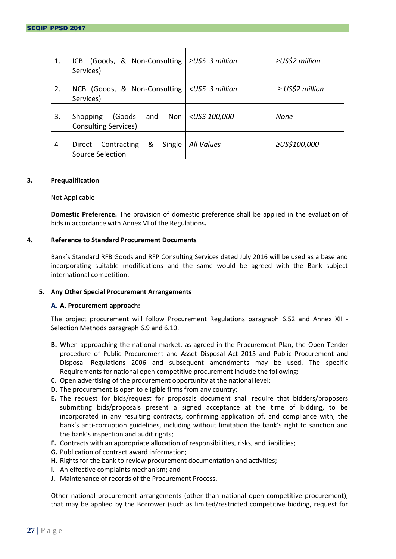| 1. | (Goods, & Non-Consulting<br>ICB.<br>Services)             | $\geq$ US\$ 3 million                                                        | ≥US\$2 million       |
|----|-----------------------------------------------------------|------------------------------------------------------------------------------|----------------------|
| 2. | NCB (Goods, & Non-Consulting<br>Services)                 | <us\$ 3="" million<="" td=""><td><math>\geq</math> US\$2 million</td></us\$> | $\geq$ US\$2 million |
| 3. | Shopping (Goods and Non<br><b>Consulting Services)</b>    | <us\$ 100,000<="" td=""><td>None</td></us\$>                                 | None                 |
| 4  | _&<br>Contracting<br>Single<br>Direct<br>Source Selection | All Values                                                                   | ≥US\$100,000         |

### **3. Prequalification**

Not Applicable

**Domestic Preference.** The provision of domestic preference shall be applied in the evaluation of bids in accordance with Annex VI of the Regulations**.** 

### **4. Reference to Standard Procurement Documents**

Bank's Standard RFB Goods and RFP Consulting Services dated July 2016 will be used as a base and incorporating suitable modifications and the same would be agreed with the Bank subject international competition.

### **5. Any Other Special Procurement Arrangements**

### **A. A. Procurement approach:**

The project procurement will follow Procurement Regulations paragraph 6.52 and Annex XII - Selection Methods paragraph 6.9 and 6.10.

- **B.** When approaching the national market, as agreed in the Procurement Plan, the Open Tender procedure of Public Procurement and Asset Disposal Act 2015 and Public Procurement and Disposal Regulations 2006 and subsequent amendments may be used. The specific Requirements for national open competitive procurement include the following:
- **C.** Open advertising of the procurement opportunity at the national level;
- **D.** The procurement is open to eligible firms from any country;
- **E.** The request for bids/request for proposals document shall require that bidders/proposers submitting bids/proposals present a signed acceptance at the time of bidding, to be incorporated in any resulting contracts, confirming application of, and compliance with, the bank's anti-corruption guidelines, including without limitation the bank's right to sanction and the bank's inspection and audit rights;
- **F.** Contracts with an appropriate allocation of responsibilities, risks, and liabilities;
- **G.** Publication of contract award information;
- **H.** Rights for the bank to review procurement documentation and activities;
- **I.** An effective complaints mechanism; and
- **J.** Maintenance of records of the Procurement Process.

Other national procurement arrangements (other than national open competitive procurement), that may be applied by the Borrower (such as limited/restricted competitive bidding, request for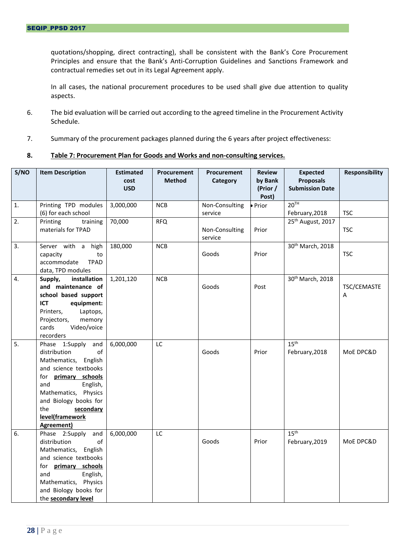quotations/shopping, direct contracting), shall be consistent with the Bank's Core Procurement Principles and ensure that the Bank's Anti-Corruption Guidelines and Sanctions Framework and contractual remedies set out in its Legal Agreement apply.

In all cases, the national procurement procedures to be used shall give due attention to quality aspects.

- 6. The bid evaluation will be carried out according to the agreed timeline in the Procurement Activity Schedule.
- 7. Summary of the procurement packages planned during the 6 years after project effectiveness:

## <span id="page-34-0"></span>**8. Table 7: Procurement Plan for Goods and Works and non-consulting services.**

| S/NO             | <b>Item Description</b>                                                                                                                                                                                                                             | <b>Estimated</b><br>cost<br><b>USD</b> | Procurement<br><b>Method</b> | <b>Procurement</b><br>Category | <b>Review</b><br>by Bank<br>(Prior / | <b>Expected</b><br><b>Proposals</b><br><b>Submission Date</b> | <b>Responsibility</b> |
|------------------|-----------------------------------------------------------------------------------------------------------------------------------------------------------------------------------------------------------------------------------------------------|----------------------------------------|------------------------------|--------------------------------|--------------------------------------|---------------------------------------------------------------|-----------------------|
|                  |                                                                                                                                                                                                                                                     |                                        |                              |                                | Post)                                |                                                               |                       |
| 1.               | Printing TPD modules<br>(6) for each school                                                                                                                                                                                                         | 3,000,000                              | NCB                          | Non-Consulting<br>service      | Prior                                | 20 <sup>TH</sup><br>February, 2018                            | <b>TSC</b>            |
| 2.               | Printing<br>training                                                                                                                                                                                                                                | 70,000                                 | <b>RFQ</b>                   |                                |                                      | 25 <sup>th</sup> August, 2017                                 |                       |
|                  | materials for TPAD                                                                                                                                                                                                                                  |                                        |                              | Non-Consulting<br>service      | Prior                                |                                                               | <b>TSC</b>            |
| $\overline{3}$ . | Server with a high<br>capacity<br>to<br>accommodate<br><b>TPAD</b><br>data, TPD modules                                                                                                                                                             | 180,000                                | NCB                          | Goods                          | Prior                                | 30 <sup>th</sup> March, 2018                                  | <b>TSC</b>            |
| 4.               | Supply,<br>installation<br>and maintenance of<br>school based support<br>ICT<br>equipment:<br>Printers,<br>Laptops,<br>Projectors,<br>memory<br>Video/voice<br>cards<br>recorders                                                                   | 1,201,120                              | NCB                          | Goods                          | Post                                 | 30 <sup>th</sup> March, 2018                                  | TSC/CEMASTE<br>Α      |
| 5.               | Phase 1:Supply<br>and<br>distribution<br>of<br>Mathematics, English<br>and science textbooks<br>for <b>primary</b> schools<br>English,<br>and<br>Mathematics, Physics<br>and Biology books for<br>the<br>secondary<br>level(framework<br>Agreement) | 6,000,000                              | LC                           | Goods                          | Prior                                | 15 <sup>th</sup><br>February, 2018                            | MoE DPC&D             |
| 6.               | Phase 2:Supply<br>and<br>distribution<br>of<br>Mathematics, English<br>and science textbooks<br>for <b>primary</b> schools<br>and<br>English,<br>Mathematics, Physics<br>and Biology books for<br>the secondary level                               | 6,000,000                              | LC                           | Goods                          | Prior                                | 15 <sup>th</sup><br>February, 2019                            | MoE DPC&D             |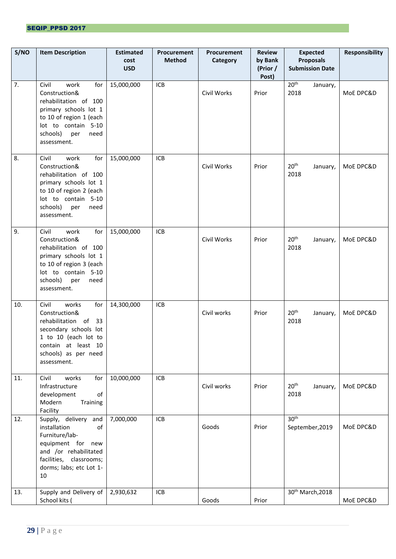| S/NO | <b>Item Description</b>                                                                                                                                                             | <b>Estimated</b><br>cost | Procurement<br><b>Method</b> | Procurement<br><b>Category</b> | <b>Review</b><br>by Bank | <b>Expected</b><br><b>Proposals</b>  | <b>Responsibility</b> |
|------|-------------------------------------------------------------------------------------------------------------------------------------------------------------------------------------|--------------------------|------------------------------|--------------------------------|--------------------------|--------------------------------------|-----------------------|
|      |                                                                                                                                                                                     | <b>USD</b>               |                              |                                | (Prior /<br>Post)        | <b>Submission Date</b>               |                       |
| 7.   | Civil<br>work<br>for<br>Construction&<br>rehabilitation of 100<br>primary schools lot 1<br>to 10 of region 1 (each<br>lot to contain 5-10<br>schools)<br>per<br>need<br>assessment. | 15,000,000               | ICB                          | Civil Works                    | Prior                    | 20 <sup>th</sup><br>January,<br>2018 | MoE DPC&D             |
| 8.   | work<br>Civil<br>for<br>Construction&<br>rehabilitation of 100<br>primary schools lot 1<br>to 10 of region 2 (each<br>lot to contain 5-10<br>schools)<br>per<br>need<br>assessment. | 15,000,000               | <b>ICB</b>                   | Civil Works                    | Prior                    | 20 <sup>th</sup><br>January,<br>2018 | MoE DPC&D             |
| 9.   | work<br>Civil<br>for<br>Construction&<br>rehabilitation of 100<br>primary schools lot 1<br>to 10 of region 3 (each<br>lot to contain 5-10<br>schools)<br>per<br>need<br>assessment. | 15,000,000               | ICB                          | Civil Works                    | Prior                    | 20 <sup>th</sup><br>January,<br>2018 | MoE DPC&D             |
| 10.  | works<br>for<br>Civil<br>Construction&<br>rehabilitation of<br>33<br>secondary schools lot<br>1 to 10 (each lot to<br>contain at least 10<br>schools) as per need<br>assessment.    | 14,300,000               | <b>ICB</b>                   | Civil works                    | Prior                    | 20 <sup>th</sup><br>January,<br>2018 | MoE DPC&D             |
| 11.  | works<br>for<br>Civil<br>Infrastructure<br>development<br>of<br>Modern<br>Training<br>Facility                                                                                      | 10,000,000               | ICB                          | Civil works                    | Prior                    | 20 <sup>th</sup><br>January,<br>2018 | MoE DPC&D             |
| 12.  | Supply, delivery and<br>installation<br>of<br>Furniture/lab-<br>equipment for new<br>and /or rehabilitated<br>facilities, classrooms;<br>dorms; labs; etc Lot 1-<br>10              | 7,000,000                | <b>ICB</b>                   | Goods                          | Prior                    | 30 <sup>th</sup><br>September, 2019  | MoE DPC&D             |
| 13.  | Supply and Delivery of<br>School kits (                                                                                                                                             | 2,930,632                | <b>ICB</b>                   | Goods                          | Prior                    | 30 <sup>th</sup> March, 2018         | MoE DPC&D             |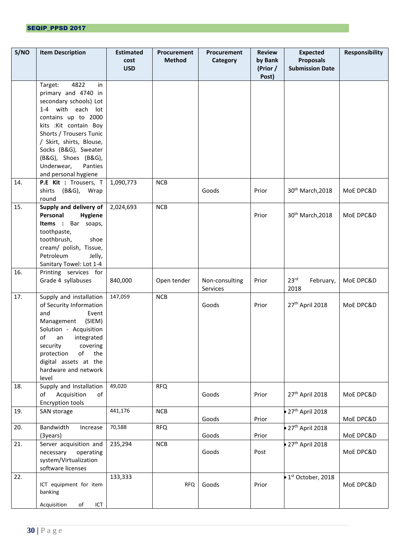| S/NO | <b>Item Description</b>                                                                                                                                                                                                                                                                                | <b>Estimated</b><br>cost<br><b>USD</b> | Procurement<br><b>Method</b> | Procurement<br>Category    | <b>Review</b><br>by Bank<br>(Prior /<br>Post) | <b>Expected</b><br><b>Proposals</b><br><b>Submission Date</b> | <b>Responsibility</b> |
|------|--------------------------------------------------------------------------------------------------------------------------------------------------------------------------------------------------------------------------------------------------------------------------------------------------------|----------------------------------------|------------------------------|----------------------------|-----------------------------------------------|---------------------------------------------------------------|-----------------------|
|      | 4822<br>Target:<br>in<br>primary and 4740 in<br>secondary schools) Lot<br>1-4 with each<br>lot<br>contains up to 2000<br>kits : Kit contain Boy<br>Shorts / Trousers Tunic<br>/ Skirt, shirts, Blouse,<br>Socks (B&G), Sweater<br>(B&G), Shoes (B&G),<br>Underwear,<br>Panties<br>and personal hygiene |                                        |                              |                            |                                               |                                                               |                       |
| 14.  | P.E Kit: Trousers, T<br>shirts (B&G), Wrap<br>round                                                                                                                                                                                                                                                    | 1,090,773                              | <b>NCB</b>                   | Goods                      | Prior                                         | 30 <sup>th</sup> March, 2018                                  | MoE DPC&D             |
| 15.  | Supply and delivery of<br>Personal<br><b>Hygiene</b><br>Items : Bar soaps,<br>toothpaste,<br>toothbrush,<br>shoe<br>cream/ polish, Tissue,<br>Petroleum<br>Jelly,<br>Sanitary Towel: Lot 1-4                                                                                                           | 2,024,693                              | <b>NCB</b>                   |                            | Prior                                         | 30 <sup>th</sup> March, 2018                                  | MoE DPC&D             |
| 16.  | Printing services for<br>Grade 4 syllabuses                                                                                                                                                                                                                                                            | 840,000                                | Open tender                  | Non-consulting<br>Services | Prior                                         | 23 <sup>rd</sup><br>February,<br>2018                         | MoE DPC&D             |
| 17.  | Supply and installation<br>of Security Information<br>and<br>Event<br>(SIEM)<br>Management<br>Solution - Acquisition<br>of<br>integrated<br>an<br>security<br>covering<br>of<br>the<br>protection<br>digital assets at the<br>hardware and network<br>level                                            | 147,059                                | <b>NCB</b>                   | Goods                      | Prior                                         | 27 <sup>th</sup> April 2018                                   | MoE DPC&D             |
| 18.  | Supply and Installation<br>Acquisition<br>of<br>of<br><b>Encryption tools</b>                                                                                                                                                                                                                          | 49,020                                 | <b>RFQ</b>                   | Goods                      | Prior                                         | 27 <sup>th</sup> April 2018                                   | MoE DPC&D             |
| 19.  | SAN storage                                                                                                                                                                                                                                                                                            | 441,176                                | NCB                          | Goods                      | Prior                                         | $\bullet$ 27 <sup>th</sup> April 2018                         | MoE DPC&D             |
| 20.  | Bandwidth<br>Increase<br>(3years)                                                                                                                                                                                                                                                                      | 70,588                                 | <b>RFQ</b>                   | Goods                      | Prior                                         | 27 <sup>th</sup> April 2018                                   | MoE DPC&D             |
| 21.  | Server acquisition and<br>necessary<br>operating<br>system/Virtualization<br>software licenses                                                                                                                                                                                                         | 235,294                                | NCB                          | Goods                      | Post                                          | 27 <sup>th</sup> April 2018                                   | MoE DPC&D             |
| 22.  | ICT equipment for item<br>banking<br>Acquisition<br>of<br>ICT                                                                                                                                                                                                                                          | 133,333                                | <b>RFQ</b>                   | Goods                      | Prior                                         | 1 <sup>st</sup> October, 2018                                 | MoE DPC&D             |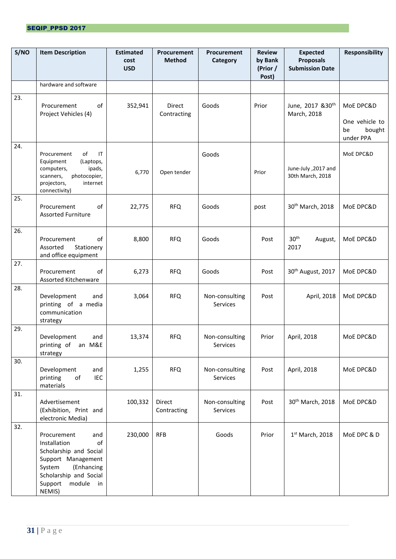| S/NO | <b>Item Description</b>                                                                                                                                                      | <b>Estimated</b><br>cost<br><b>USD</b> | Procurement<br><b>Method</b> | Procurement<br>Category           | <b>Review</b><br>by Bank<br>(Prior /<br>Post) | <b>Expected</b><br><b>Proposals</b><br><b>Submission Date</b> | <b>Responsibility</b>                                    |
|------|------------------------------------------------------------------------------------------------------------------------------------------------------------------------------|----------------------------------------|------------------------------|-----------------------------------|-----------------------------------------------|---------------------------------------------------------------|----------------------------------------------------------|
|      | hardware and software                                                                                                                                                        |                                        |                              |                                   |                                               |                                                               |                                                          |
| 23.  | of<br>Procurement<br>Project Vehicles (4)                                                                                                                                    | 352,941                                | Direct<br>Contracting        | Goods                             | Prior                                         | June, 2017 & 30 <sup>th</sup><br>March, 2018                  | MoE DPC&D<br>One vehicle to<br>be<br>bought<br>under PPA |
| 24.  | of<br>Procurement<br>IT<br>(Laptops,<br>Equipment<br>ipads,<br>computers,<br>photocopier,<br>scanners,<br>projectors,<br>internet<br>connectivity)                           | 6,770                                  | Open tender                  | Goods                             | Prior                                         | June-July , 2017 and<br>30th March, 2018                      | MoE DPC&D                                                |
| 25.  | of<br>Procurement<br><b>Assorted Furniture</b>                                                                                                                               | 22,775                                 | <b>RFQ</b>                   | Goods                             | post                                          | 30 <sup>th</sup> March, 2018                                  | MoE DPC&D                                                |
| 26.  | of<br>Procurement<br>Assorted<br>Stationery<br>and office equipment                                                                                                          | 8,800                                  | <b>RFQ</b>                   | Goods                             | Post                                          | 30 <sup>th</sup><br>August,<br>2017                           | MoE DPC&D                                                |
| 27.  | Procurement<br>of<br>Assorted Kitchenware                                                                                                                                    | 6,273                                  | <b>RFQ</b>                   | Goods                             | Post                                          | 30 <sup>th</sup> August, 2017                                 | MoE DPC&D                                                |
| 28.  | Development<br>and<br>printing of a media<br>communication<br>strategy                                                                                                       | 3,064                                  | <b>RFQ</b>                   | Non-consulting<br><b>Services</b> | Post                                          | April, 2018                                                   | MoE DPC&D                                                |
| 29.  | Development<br>and<br>printing of an M&E<br>strategy                                                                                                                         | 13,374                                 | <b>RFQ</b>                   | Non-consulting<br>Services        | Prior                                         | April, 2018                                                   | MoE DPC&D                                                |
| 30.  | Development<br>and<br>IEC<br>printing<br>of<br>materials                                                                                                                     | 1,255                                  | <b>RFQ</b>                   | Non-consulting<br>Services        | Post                                          | April, 2018                                                   | MoE DPC&D                                                |
| 31.  | Advertisement<br>(Exhibition, Print and<br>electronic Media)                                                                                                                 | 100,332                                | Direct<br>Contracting        | Non-consulting<br>Services        | Post                                          | 30 <sup>th</sup> March, 2018                                  | MoE DPC&D                                                |
| 32.  | Procurement<br>and<br>of<br>Installation<br>Scholarship and Social<br>Support Management<br>System<br>(Enhancing<br>Scholarship and Social<br>module in<br>Support<br>NEMIS) | 230,000                                | <b>RFB</b>                   | Goods                             | Prior                                         | $1st$ March, 2018                                             | MoE DPC & D                                              |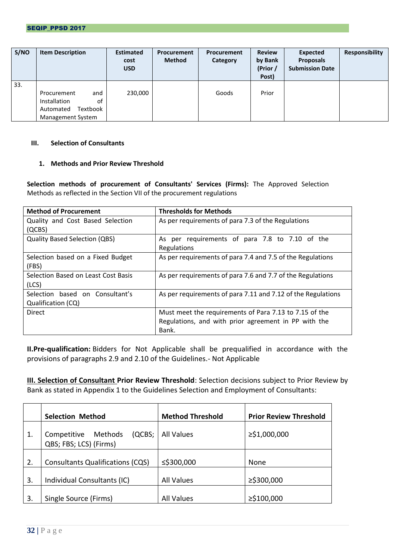| S/NO | <b>Item Description</b>                                                                | <b>Estimated</b><br>cost<br><b>USD</b> | Procurement<br><b>Method</b> | Procurement<br>Category | <b>Review</b><br>by Bank<br>(Prior /<br>Post) | <b>Expected</b><br><b>Proposals</b><br><b>Submission Date</b> | <b>Responsibility</b> |
|------|----------------------------------------------------------------------------------------|----------------------------------------|------------------------------|-------------------------|-----------------------------------------------|---------------------------------------------------------------|-----------------------|
| 33.  | Procurement<br>and<br>οf<br>Installation<br>Textbook<br>Automated<br>Management System | 230,000                                |                              | Goods                   | Prior                                         |                                                               |                       |

## **III. Selection of Consultants**

## **1. Methods and Prior Review Threshold**

**Selection methods of procurement of Consultants' Services (Firms):** The Approved Selection Methods as reflected in the Section VII of the procurement regulations

| <b>Method of Procurement</b>         | <b>Thresholds for Methods</b>                                |
|--------------------------------------|--------------------------------------------------------------|
| Quality and Cost Based Selection     | As per requirements of para 7.3 of the Regulations           |
| (QCBS)                               |                                                              |
| <b>Quality Based Selection (QBS)</b> | As per requirements of para 7.8 to 7.10 of the               |
|                                      | Regulations                                                  |
| Selection based on a Fixed Budget    | As per requirements of para 7.4 and 7.5 of the Regulations   |
| (FBS)                                |                                                              |
| Selection Based on Least Cost Basis  | As per requirements of para 7.6 and 7.7 of the Regulations   |
| (ICS)                                |                                                              |
| Selection based on Consultant's      | As per requirements of para 7.11 and 7.12 of the Regulations |
| Qualification (CQ)                   |                                                              |
| Direct                               | Must meet the requirements of Para 7.13 to 7.15 of the       |
|                                      | Regulations, and with prior agreement in PP with the         |
|                                      | Bank.                                                        |

<span id="page-38-0"></span>**II.Pre-qualification:** Bidders for Not Applicable shall be prequalified in accordance with the provisions of paragraphs 2.9 and 2.10 of the Guidelines.- Not Applicable

**III. Selection of Consultant Prior Review Threshold**: Selection decisions subject to Prior Review by Bank as stated in Appendix 1 to the Guidelines Selection and Employment of Consultants:

|    | <b>Selection Method</b>                                    | <b>Method Threshold</b> | <b>Prior Review Threshold</b> |
|----|------------------------------------------------------------|-------------------------|-------------------------------|
| 1. | Methods<br>(QCBS;<br>Competitive<br>QBS; FBS; LCS) (Firms) | <b>All Values</b>       | ≥\$1,000,000                  |
| 2. | <b>Consultants Qualifications (CQS)</b>                    | ≤\$300,000              | None                          |
| 3. | Individual Consultants (IC)                                | <b>All Values</b>       | ≥\$300,000                    |
| 3. | Single Source (Firms)                                      | <b>All Values</b>       | ≥\$100,000                    |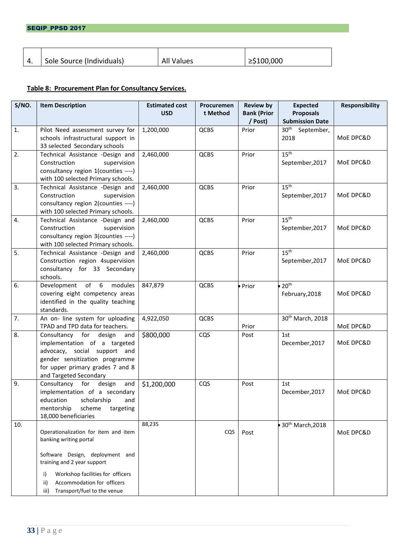| <b>All Values</b><br>Sole Source (Individuals) | ≥\$100,000 |  |
|------------------------------------------------|------------|--|
|------------------------------------------------|------------|--|

# **Table 8: Procurement Plan for Consultancy Services.**

| S/NO. | <b>Item Description</b>                                            | <b>Estimated cost</b><br><b>USD</b> | Procuremen<br>t Method | <b>Review by</b><br><b>Bank (Prior</b> | <b>Expected</b><br><b>Proposals</b> | <b>Responsibility</b> |
|-------|--------------------------------------------------------------------|-------------------------------------|------------------------|----------------------------------------|-------------------------------------|-----------------------|
|       |                                                                    |                                     |                        | / Post)                                | <b>Submission Date</b>              |                       |
| 1.    | Pilot Need assessment survey for                                   | 1,200,000                           | QCBS                   | Prior                                  | 30 <sup>th</sup> September,         |                       |
|       | schools infrastructural support in                                 |                                     |                        |                                        | 2018                                | MoE DPC&D             |
|       | 33 selected Secondary schools                                      |                                     |                        |                                        |                                     |                       |
| 2.    | Technical Assistance -Design and                                   | 2,460,000                           | QCBS                   | Prior                                  | $15^{\text{th}}$                    |                       |
|       | Construction<br>supervision<br>consultancy region 1(counties ----) |                                     |                        |                                        | September, 2017                     | MoE DPC&D             |
|       | with 100 selected Primary schools.                                 |                                     |                        |                                        |                                     |                       |
| 3.    | Technical Assistance -Design and                                   | 2,460,000                           | QCBS                   | Prior                                  | 15 <sup>th</sup>                    |                       |
|       | Construction<br>supervision                                        |                                     |                        |                                        | September, 2017                     | MoE DPC&D             |
|       | consultancy region 2(counties ----)                                |                                     |                        |                                        |                                     |                       |
|       | with 100 selected Primary schools.                                 |                                     |                        |                                        |                                     |                       |
| 4.    | Technical Assistance -Design and                                   | 2,460,000                           | QCBS                   | Prior                                  | 15 <sup>th</sup>                    |                       |
|       | Construction<br>supervision<br>consultancy region 3(counties ----) |                                     |                        |                                        | September, 2017                     | MoE DPC&D             |
|       | with 100 selected Primary schools.                                 |                                     |                        |                                        |                                     |                       |
| 5.    | Technical Assistance -Design and                                   | 2,460,000                           | QCBS                   | Prior                                  | 15 <sup>th</sup>                    |                       |
|       | Construction region 4supervision                                   |                                     |                        |                                        | September, 2017                     | MoE DPC&D             |
|       | consultancy for 33 Secondary                                       |                                     |                        |                                        |                                     |                       |
|       | schools.                                                           |                                     |                        |                                        |                                     |                       |
| 6.    | of 6<br>Development<br>modules                                     | 847,879                             | QCBS                   | • Prior                                | 20 <sup>th</sup>                    |                       |
|       | covering eight competency areas                                    |                                     |                        |                                        | February, 2018                      | MoE DPC&D             |
|       | identified in the quality teaching<br>standards.                   |                                     |                        |                                        |                                     |                       |
| 7.    | An on- line system for uploading                                   | 4,922,050                           | QCBS                   |                                        | 30 <sup>th</sup> March, 2018        |                       |
|       | TPAD and TPD data for teachers.                                    |                                     |                        | Prior                                  |                                     | MoE DPC&D             |
| 8.    | Consultancy for design<br>and                                      | \$800,000                           | CQS                    | Post                                   | 1st                                 |                       |
|       | implementation of a targeted                                       |                                     |                        |                                        | December, 2017                      | MoE DPC&D             |
|       | advocacy, social support and                                       |                                     |                        |                                        |                                     |                       |
|       | gender sensitization programme                                     |                                     |                        |                                        |                                     |                       |
|       | for upper primary grades 7 and 8<br>and Targeted Secondary         |                                     |                        |                                        |                                     |                       |
| 9.    | Consultancy for<br>design<br>and                                   | \$1,200,000                         | CQS                    | Post                                   | 1st                                 |                       |
|       | implementation of a secondary                                      |                                     |                        |                                        | December, 2017                      | MoE DPC&D             |
|       | education<br>scholarship<br>and                                    |                                     |                        |                                        |                                     |                       |
|       | scheme<br>mentorship<br>targeting                                  |                                     |                        |                                        |                                     |                       |
|       | 18,000 beneficiaries                                               |                                     |                        |                                        |                                     |                       |
| 10.   | Operationalization for item and item                               | 88,235                              | CQS                    |                                        | 30 <sup>th</sup> March, 2018        |                       |
|       | banking writing portal                                             |                                     |                        | Post                                   |                                     | MoE DPC&D             |
|       |                                                                    |                                     |                        |                                        |                                     |                       |
|       | Software Design, deployment and                                    |                                     |                        |                                        |                                     |                       |
|       | training and 2 year support                                        |                                     |                        |                                        |                                     |                       |
|       | Workshop facilities for officers<br>i)                             |                                     |                        |                                        |                                     |                       |
|       | Accommodation for officers<br>ii)                                  |                                     |                        |                                        |                                     |                       |
|       | Transport/fuel to the venue<br>iii)                                |                                     |                        |                                        |                                     |                       |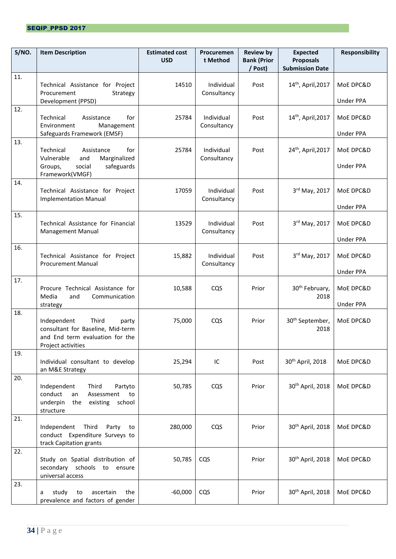| S/NO. | <b>Item Description</b>                                                                                                     | <b>Estimated cost</b><br><b>USD</b> | Procuremen<br>t Method    | <b>Review by</b><br><b>Bank (Prior</b><br>/ Post) | <b>Expected</b><br><b>Proposals</b><br><b>Submission Date</b> | <b>Responsibility</b>         |
|-------|-----------------------------------------------------------------------------------------------------------------------------|-------------------------------------|---------------------------|---------------------------------------------------|---------------------------------------------------------------|-------------------------------|
| 11.   | Technical Assistance for Project<br>Procurement<br>Strategy<br>Development (PPSD)                                           | 14510                               | Individual<br>Consultancy | Post                                              | 14th, April, 2017                                             | MoE DPC&D<br>Under PPA        |
| 12.   | Technical<br>for<br>Assistance<br>Environment<br>Management<br>Safeguards Framework (EMSF)                                  | 25784                               | Individual<br>Consultancy | Post                                              | 14 <sup>th</sup> , April, 2017                                | MoE DPC&D<br>Under PPA        |
| 13.   | Technical<br>Assistance<br>for<br>Vulnerable<br>and<br>Marginalized<br>social<br>safeguards<br>Groups,<br>Framework(VMGF)   | 25784                               | Individual<br>Consultancy | Post                                              | 24th, April, 2017                                             | MoE DPC&D<br><b>Under PPA</b> |
| 14.   | Technical Assistance for Project<br><b>Implementation Manual</b>                                                            | 17059                               | Individual<br>Consultancy | Post                                              | 3rd May, 2017                                                 | MoE DPC&D<br>Under PPA        |
| 15.   | Technical Assistance for Financial<br><b>Management Manual</b>                                                              | 13529                               | Individual<br>Consultancy | Post                                              | 3rd May, 2017                                                 | MoE DPC&D<br>Under PPA        |
| 16.   | Technical Assistance for Project<br><b>Procurement Manual</b>                                                               | 15,882                              | Individual<br>Consultancy | Post                                              | 3rd May, 2017                                                 | MoE DPC&D<br>Under PPA        |
| 17.   | Procure Technical Assistance for<br>Media<br>and<br>Communication<br>strategy                                               | 10,588                              | CQS                       | Prior                                             | 30 <sup>th</sup> February,<br>2018                            | MoE DPC&D<br>Under PPA        |
| 18.   | Independent<br>Third<br>party<br>consultant for Baseline, Mid-term<br>and End term evaluation for the<br>Project activities | 75,000                              | CQS                       | Prior                                             | 30 <sup>th</sup> September,<br>2018                           | MoE DPC&D                     |
| 19.   | Individual consultant to develop<br>an M&E Strategy                                                                         | 25,294                              | IC                        | Post                                              | 30 <sup>th</sup> April, 2018                                  | MoE DPC&D                     |
| 20.   | Independent<br>Third<br>Partyto<br>conduct<br>Assessment<br>an<br>to<br>underpin<br>the existing school<br>structure        | 50,785                              | CQS                       | Prior                                             | 30 <sup>th</sup> April, 2018                                  | MoE DPC&D                     |
| 21.   | Independent<br>Third<br>Party<br>to<br>conduct Expenditure Surveys to<br>track Capitation grants                            | 280,000                             | CQS                       | Prior                                             | 30 <sup>th</sup> April, 2018                                  | MoE DPC&D                     |
| 22.   | Study on Spatial distribution of<br>secondary schools to ensure<br>universal access                                         | 50,785                              | CQS                       | Prior                                             | 30 <sup>th</sup> April, 2018                                  | MoE DPC&D                     |
| 23.   | study<br>to<br>ascertain<br>the<br>a<br>prevalence and factors of gender                                                    | $-60,000$                           | CQS                       | Prior                                             | 30 <sup>th</sup> April, 2018                                  | MoE DPC&D                     |